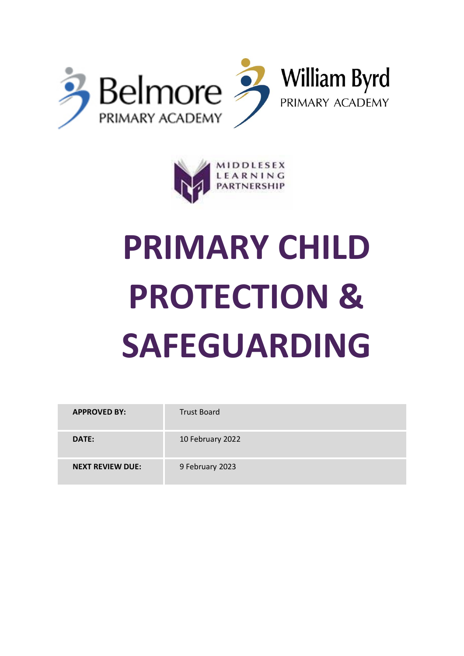



# **PRIMARY CHILD PROTECTION & SAFEGUARDING**

| <b>APPROVED BY:</b>     | <b>Trust Board</b> |
|-------------------------|--------------------|
| DATE:                   | 10 February 2022   |
| <b>NEXT REVIEW DUE:</b> | 9 February 2023    |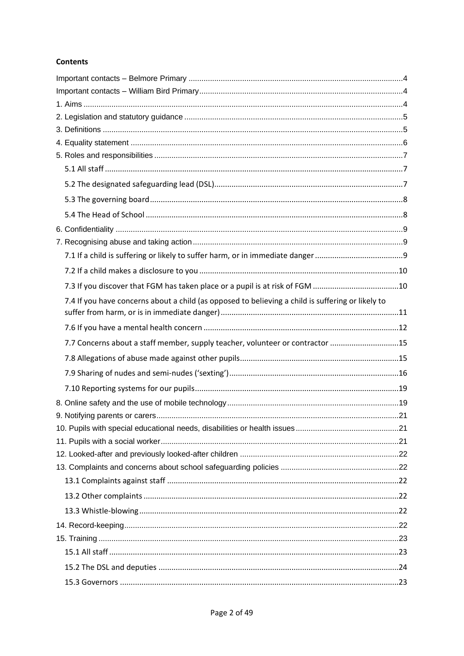## **Contents**

| 7.4 If you have concerns about a child (as opposed to believing a child is suffering or likely to |  |
|---------------------------------------------------------------------------------------------------|--|
|                                                                                                   |  |
| 7.7 Concerns about a staff member, supply teacher, volunteer or contractor 15                     |  |
|                                                                                                   |  |
|                                                                                                   |  |
|                                                                                                   |  |
|                                                                                                   |  |
|                                                                                                   |  |
|                                                                                                   |  |
|                                                                                                   |  |
|                                                                                                   |  |
|                                                                                                   |  |
|                                                                                                   |  |
|                                                                                                   |  |
|                                                                                                   |  |
|                                                                                                   |  |
|                                                                                                   |  |
|                                                                                                   |  |
|                                                                                                   |  |
|                                                                                                   |  |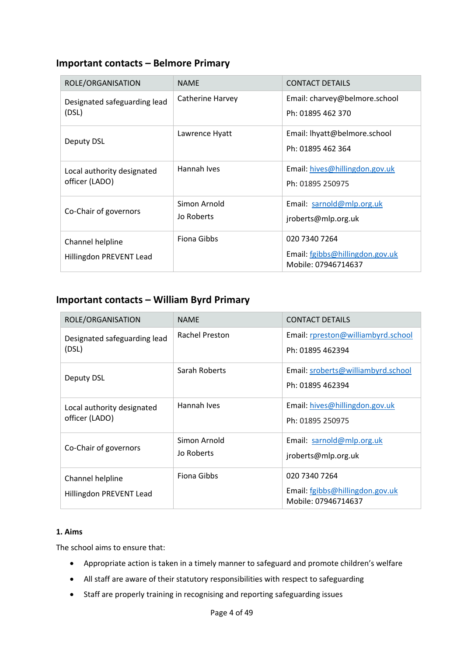## <span id="page-3-0"></span>**Important contacts – Belmore Primary**

| ROLE/ORGANISATION                            | <b>NAME</b>                | <b>CONTACT DETAILS</b>                                                  |
|----------------------------------------------|----------------------------|-------------------------------------------------------------------------|
| Designated safeguarding lead<br>(DSL)        | Catherine Harvey           | Email: charvey@belmore.school<br>Ph: 01895 462 370                      |
| Deputy DSL                                   | Lawrence Hyatt             | Email: lhyatt@belmore.school<br>Ph: 01895 462 364                       |
| Local authority designated<br>officer (LADO) | Hannah Ives                | Email: hives@hillingdon.gov.uk<br>Ph: 01895 250975                      |
| Co-Chair of governors                        | Simon Arnold<br>Jo Roberts | Email: sarnold@mlp.org.uk<br>jroberts@mlp.org.uk                        |
| Channel helpline<br>Hillingdon PREVENT Lead  | <b>Fiona Gibbs</b>         | 020 7340 7264<br>Email: fgibbs@hillingdon.gov.uk<br>Mobile: 07946714637 |

# <span id="page-3-1"></span>**Important contacts – William Byrd Primary**

| ROLE/ORGANISATION                            | <b>NAME</b>           | <b>CONTACT DETAILS</b>                                 |
|----------------------------------------------|-----------------------|--------------------------------------------------------|
| Designated safeguarding lead<br>(DSL)        | <b>Rachel Preston</b> | Email: rpreston@williambyrd.school                     |
|                                              |                       | Ph: 01895 462394                                       |
| Deputy DSL                                   | Sarah Roberts         | Email: sroberts@williambyrd.school                     |
|                                              |                       | Ph: 01895 462394                                       |
| Local authority designated<br>officer (LADO) | Hannah Ives           | Email: hives@hillingdon.gov.uk                         |
|                                              |                       | Ph: 01895 250975                                       |
| Co-Chair of governors                        | Simon Arnold          | Email: sarnold@mlp.org.uk                              |
|                                              | Jo Roberts            | jroberts@mlp.org.uk                                    |
| Channel helpline                             | Fiona Gibbs           | 020 7340 7264                                          |
| Hillingdon PREVENT Lead                      |                       | Email: fgibbs@hillingdon.gov.uk<br>Mobile: 07946714637 |

## <span id="page-3-2"></span>**1. Aims**

The school aims to ensure that:

- Appropriate action is taken in a timely manner to safeguard and promote children's welfare
- All staff are aware of their statutory responsibilities with respect to safeguarding
- Staff are properly training in recognising and reporting safeguarding issues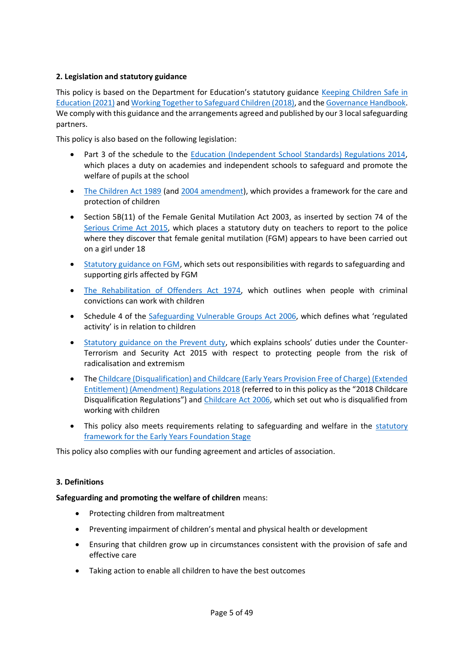## <span id="page-4-0"></span>**2. Legislation and statutory guidance**

This policy is based on the Department for Education's statutory guidance [Keeping Children Safe in](https://www.gov.uk/government/publications/keeping-children-safe-in-education--2)  [Education \(2021\)](https://www.gov.uk/government/publications/keeping-children-safe-in-education--2) an[d Working Together to Safeguard Children \(2018\),](https://www.gov.uk/government/publications/working-together-to-safeguard-children--2) and th[e Governance Handbook.](https://www.gov.uk/government/publications/governance-handbook) We comply with this guidance and the arrangements agreed and published by our 3 local safeguarding partners.

This policy is also based on the following legislation:

- Part 3 of the schedule to the [Education \(Independent School Standards\) Regulations 2014,](http://www.legislation.gov.uk/uksi/2014/3283/schedule/part/3/made) which places a duty on academies and independent schools to safeguard and promote the welfare of pupils at the school
- [The Children Act 1989](http://www.legislation.gov.uk/ukpga/1989/41) (and [2004 amendment\)](http://www.legislation.gov.uk/ukpga/2004/31/contents), which provides a framework for the care and protection of children
- Section 5B(11) of the Female Genital Mutilation Act 2003, as inserted by section 74 of the [Serious Crime Act 2015,](http://www.legislation.gov.uk/ukpga/2015/9/part/5/crossheading/female-genital-mutilation) which places a statutory duty on teachers to report to the police where they discover that female genital mutilation (FGM) appears to have been carried out on a girl under 18
- [Statutory guidance on FGM,](https://www.gov.uk/government/publications/multi-agency-statutory-guidance-on-female-genital-mutilation) which sets out responsibilities with regards to safeguarding and supporting girls affected by FGM
- [The Rehabilitation of Offenders Act 1974,](http://www.legislation.gov.uk/ukpga/1974/53) which outlines when people with criminal convictions can work with children
- Schedule 4 of the [Safeguarding Vulnerable Groups Act 2006](http://www.legislation.gov.uk/ukpga/2006/47/schedule/4), which defines what 'regulated activity' is in relation to children
- [Statutory guidance on the Prevent duty](https://www.gov.uk/government/publications/prevent-duty-guidance), which explains schools' duties under the Counter-Terrorism and Security Act 2015 with respect to protecting people from the risk of radicalisation and extremism
- The Childcare (Disqualification) and Childcare (Early Years Provision Free of Charge) (Extended [Entitlement\) \(Amendment\) Regulations 2018](http://www.legislation.gov.uk/uksi/2018/794/contents/made) (referred to in this policy as the "2018 Childcare Disqualification Regulations") and [Childcare Act 2006,](http://www.legislation.gov.uk/ukpga/2006/21/contents) which set out who is disqualified from working with children
- This policy also meets requirements relating to safeguarding and welfare in the statutory [framework for the Early Years Foundation Stage](https://www.gov.uk/government/publications/early-years-foundation-stage-framework--2)

This policy also complies with our funding agreement and articles of association.

## <span id="page-4-1"></span>**3. Definitions**

#### **Safeguarding and promoting the welfare of children** means:

- Protecting children from maltreatment
- Preventing impairment of children's mental and physical health or development
- Ensuring that children grow up in circumstances consistent with the provision of safe and effective care
- Taking action to enable all children to have the best outcomes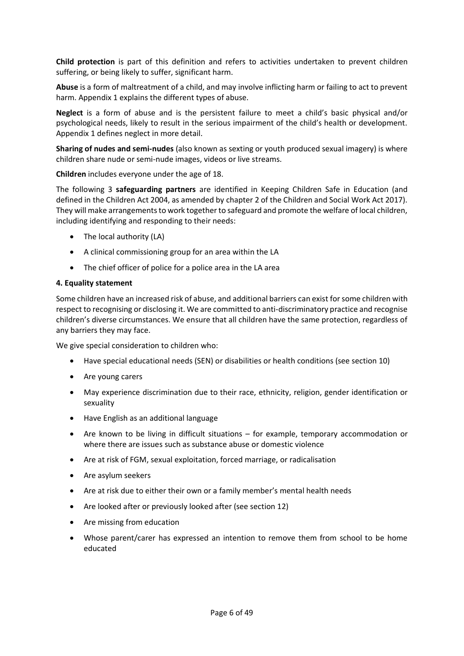**Child protection** is part of this definition and refers to activities undertaken to prevent children suffering, or being likely to suffer, significant harm.

**Abuse** is a form of maltreatment of a child, and may involve inflicting harm or failing to act to prevent harm. Appendix 1 explains the different types of abuse.

**Neglect** is a form of abuse and is the persistent failure to meet a child's basic physical and/or psychological needs, likely to result in the serious impairment of the child's health or development. Appendix 1 defines neglect in more detail.

**Sharing of nudes and semi-nudes** (also known as sexting or youth produced sexual imagery) is where children share nude or semi-nude images, videos or live streams.

**Children** includes everyone under the age of 18.

The following 3 **safeguarding partners** are identified in Keeping Children Safe in Education (and defined in the Children Act 2004, as amended by chapter 2 of the Children and Social Work Act 2017). They will make arrangements to work together to safeguard and promote the welfare of local children, including identifying and responding to their needs:

- The local authority (LA)
- A clinical commissioning group for an area within the LA
- The chief officer of police for a police area in the LA area

#### <span id="page-5-0"></span>**4. Equality statement**

Some children have an increased risk of abuse, and additional barriers can exist for some children with respect to recognising or disclosing it. We are committed to anti-discriminatory practice and recognise children's diverse circumstances. We ensure that all children have the same protection, regardless of any barriers they may face.

We give special consideration to children who:

- Have special educational needs (SEN) or disabilities or health conditions (see section 10)
- Are young carers
- May experience discrimination due to their race, ethnicity, religion, gender identification or sexuality
- Have English as an additional language
- Are known to be living in difficult situations for example, temporary accommodation or where there are issues such as substance abuse or domestic violence
- Are at risk of FGM, sexual exploitation, forced marriage, or radicalisation
- Are asylum seekers
- Are at risk due to either their own or a family member's mental health needs
- Are looked after or previously looked after (see section 12)
- Are missing from education
- Whose parent/carer has expressed an intention to remove them from school to be home educated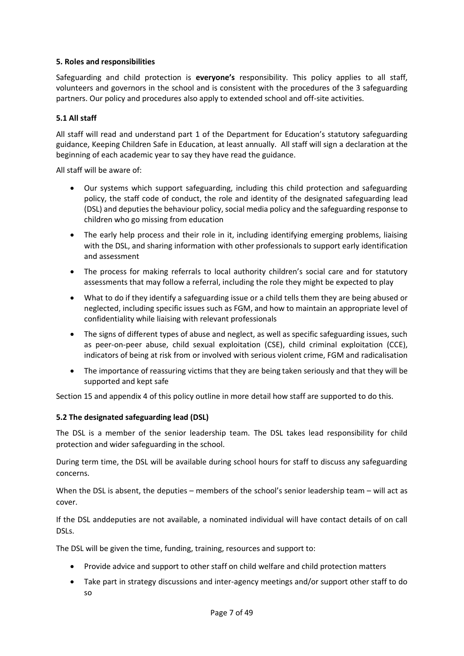## <span id="page-6-0"></span>**5. Roles and responsibilities**

Safeguarding and child protection is **everyone's** responsibility. This policy applies to all staff, volunteers and governors in the school and is consistent with the procedures of the 3 safeguarding partners. Our policy and procedures also apply to extended school and off-site activities.

## <span id="page-6-1"></span>**5.1 All staff**

All staff will read and understand part 1 of the Department for Education's statutory safeguarding guidance, Keeping Children Safe in Education, at least annually. All staff will sign a declaration at the beginning of each academic year to say they have read the guidance.

All staff will be aware of:

- Our systems which support safeguarding, including this child protection and safeguarding policy, the staff code of conduct, the role and identity of the designated safeguarding lead (DSL) and deputies the behaviour policy, social media policy and the safeguarding response to children who go missing from education
- The early help process and their role in it, including identifying emerging problems, liaising with the DSL, and sharing information with other professionals to support early identification and assessment
- The process for making referrals to local authority children's social care and for statutory assessments that may follow a referral, including the role they might be expected to play
- What to do if they identify a safeguarding issue or a child tells them they are being abused or neglected, including specific issues such as FGM, and how to maintain an appropriate level of confidentiality while liaising with relevant professionals
- The signs of different types of abuse and neglect, as well as specific safeguarding issues, such as peer-on-peer abuse, child sexual exploitation (CSE), child criminal exploitation (CCE), indicators of being at risk from or involved with serious violent crime, FGM and radicalisation
- The importance of reassuring victims that they are being taken seriously and that they will be supported and kept safe

Section 15 and appendix 4 of this policy outline in more detail how staff are supported to do this.

## <span id="page-6-2"></span>**5.2 The designated safeguarding lead (DSL)**

The DSL is a member of the senior leadership team. The DSL takes lead responsibility for child protection and wider safeguarding in the school.

During term time, the DSL will be available during school hours for staff to discuss any safeguarding concerns.

When the DSL is absent, the deputies – members of the school's senior leadership team – will act as cover.

If the DSL anddeputies are not available, a nominated individual will have contact details of on call DSLs.

The DSL will be given the time, funding, training, resources and support to:

- Provide advice and support to other staff on child welfare and child protection matters
- Take part in strategy discussions and inter-agency meetings and/or support other staff to do so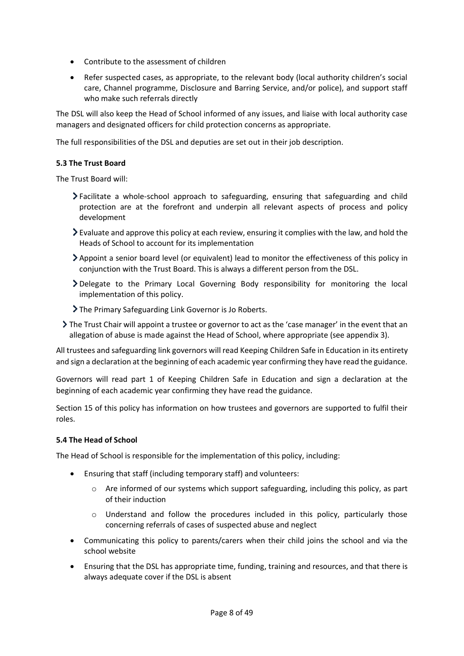- Contribute to the assessment of children
- Refer suspected cases, as appropriate, to the relevant body (local authority children's social care, Channel programme, Disclosure and Barring Service, and/or police), and support staff who make such referrals directly

The DSL will also keep the Head of School informed of any issues, and liaise with local authority case managers and designated officers for child protection concerns as appropriate.

The full responsibilities of the DSL and deputies are set out in their job description.

## **5.3 The Trust Board**

The Trust Board will:

- Facilitate a whole-school approach to safeguarding, ensuring that safeguarding and child protection are at the forefront and underpin all relevant aspects of process and policy development
- $\geq$  Evaluate and approve this policy at each review, ensuring it complies with the law, and hold the Heads of School to account for its implementation
- Appoint a senior board level (or equivalent) lead to monitor the effectiveness of this policy in conjunction with the Trust Board. This is always a different person from the DSL.
- Delegate to the Primary Local Governing Body responsibility for monitoring the local implementation of this policy.
- The Primary Safeguarding Link Governor is Jo Roberts.
- The Trust Chair will appoint a trustee or governor to act as the 'case manager' in the event that an allegation of abuse is made against the Head of School, where appropriate (see appendix 3).

All trustees and safeguarding link governors will read Keeping Children Safe in Education in its entirety and sign a declaration at the beginning of each academic year confirming they have read the guidance.

Governors will read part 1 of Keeping Children Safe in Education and sign a declaration at the beginning of each academic year confirming they have read the guidance.

Section 15 of this policy has information on how trustees and governors are supported to fulfil their roles.

## <span id="page-7-0"></span>**5.4 The Head of School**

The Head of School is responsible for the implementation of this policy, including:

- Ensuring that staff (including temporary staff) and volunteers:
	- $\circ$  Are informed of our systems which support safeguarding, including this policy, as part of their induction
	- o Understand and follow the procedures included in this policy, particularly those concerning referrals of cases of suspected abuse and neglect
- Communicating this policy to parents/carers when their child joins the school and via the school website
- Ensuring that the DSL has appropriate time, funding, training and resources, and that there is always adequate cover if the DSL is absent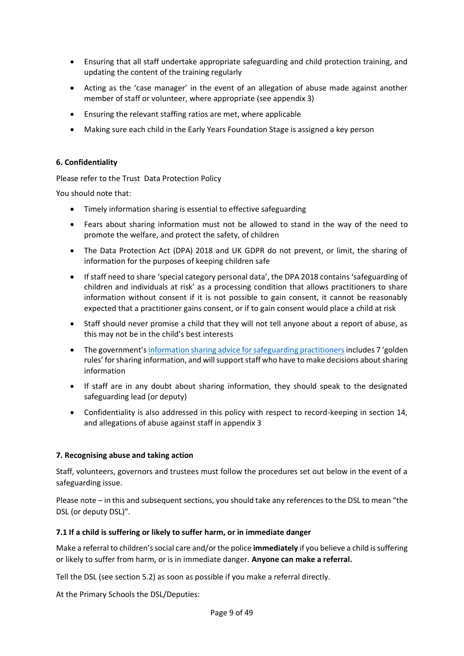- Ensuring that all staff undertake appropriate safeguarding and child protection training, and updating the content of the training regularly
- Acting as the 'case manager' in the event of an allegation of abuse made against another member of staff or volunteer, where appropriate (see appendix 3)
- Ensuring the relevant staffing ratios are met, where applicable
- Making sure each child in the Early Years Foundation Stage is assigned a key person

## <span id="page-8-0"></span>**6. Confidentiality**

Please refer to the Trust Data Protection Policy

You should note that:

- Timely information sharing is essential to effective safeguarding
- Fears about sharing information must not be allowed to stand in the way of the need to promote the welfare, and protect the safety, of children
- The Data Protection Act (DPA) 2018 and UK GDPR do not prevent, or limit, the sharing of information for the purposes of keeping children safe
- If staff need to share 'special category personal data', the DPA 2018 contains 'safeguarding of children and individuals at risk' as a processing condition that allows practitioners to share information without consent if it is not possible to gain consent, it cannot be reasonably expected that a practitioner gains consent, or if to gain consent would place a child at risk
- Staff should never promise a child that they will not tell anyone about a report of abuse, as this may not be in the child's best interests
- The government's [information sharing advice for safeguarding practitioners](https://www.gov.uk/government/publications/safeguarding-practitioners-information-sharing-advice) includes 7 'golden rules' for sharing information, and will support staff who have to make decisions about sharing information
- If staff are in any doubt about sharing information, they should speak to the designated safeguarding lead (or deputy)
- Confidentiality is also addressed in this policy with respect to record-keeping in section 14, and allegations of abuse against staff in appendix 3

## <span id="page-8-1"></span>**7. Recognising abuse and taking action**

Staff, volunteers, governors and trustees must follow the procedures set out below in the event of a safeguarding issue.

Please note – in this and subsequent sections, you should take any references to the DSL to mean "the DSL (or deputy DSL)".

#### <span id="page-8-2"></span>**7.1 If a child is suffering or likely to suffer harm, or in immediate danger**

Make a referral to children's social care and/or the police **immediately** if you believe a child is suffering or likely to suffer from harm, or is in immediate danger. **Anyone can make a referral.**

Tell the DSL (see section 5.2) as soon as possible if you make a referral directly.

At the Primary Schools the DSL/Deputies: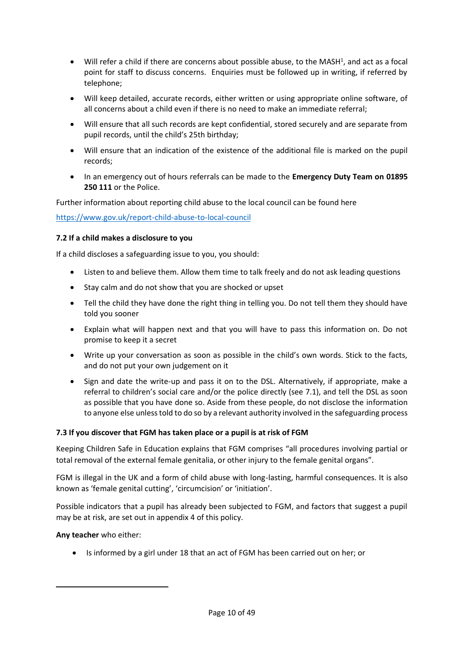- Will refer a child if there are concerns about possible abuse, to the MASH<sup>1</sup>, and act as a focal point for staff to discuss concerns. Enquiries must be followed up in writing, if referred by telephone;
- Will keep detailed, accurate records, either written or using appropriate online software, of all concerns about a child even if there is no need to make an immediate referral;
- Will ensure that all such records are kept confidential, stored securely and are separate from pupil records, until the child's 25th birthday;
- Will ensure that an indication of the existence of the additional file is marked on the pupil records;
- In an emergency out of hours referrals can be made to the **Emergency Duty Team on 01895 250 111** or the Police.

Further information about reporting child abuse to the local council can be found here

<https://www.gov.uk/report-child-abuse-to-local-council>

## <span id="page-9-0"></span>**7.2 If a child makes a disclosure to you**

If a child discloses a safeguarding issue to you, you should:

- Listen to and believe them. Allow them time to talk freely and do not ask leading questions
- Stay calm and do not show that you are shocked or upset
- Tell the child they have done the right thing in telling you. Do not tell them they should have told you sooner
- Explain what will happen next and that you will have to pass this information on. Do not promise to keep it a secret
- Write up your conversation as soon as possible in the child's own words. Stick to the facts, and do not put your own judgement on it
- Sign and date the write-up and pass it on to the DSL. Alternatively, if appropriate, make a referral to children's social care and/or the police directly (see 7.1), and tell the DSL as soon as possible that you have done so. Aside from these people, do not disclose the information to anyone else unless told to do so by a relevant authority involved in the safeguarding process

## <span id="page-9-1"></span>**7.3 If you discover that FGM has taken place or a pupil is at risk of FGM**

Keeping Children Safe in Education explains that FGM comprises "all procedures involving partial or total removal of the external female genitalia, or other injury to the female genital organs".

FGM is illegal in the UK and a form of child abuse with long-lasting, harmful consequences. It is also known as 'female genital cutting', 'circumcision' or 'initiation'.

Possible indicators that a pupil has already been subjected to FGM, and factors that suggest a pupil may be at risk, are set out in appendix 4 of this policy.

#### **Any teacher** who either:

• Is informed by a girl under 18 that an act of FGM has been carried out on her; or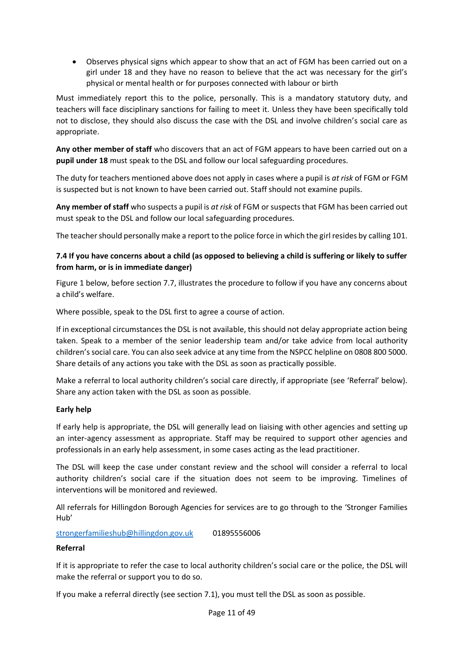• Observes physical signs which appear to show that an act of FGM has been carried out on a girl under 18 and they have no reason to believe that the act was necessary for the girl's physical or mental health or for purposes connected with labour or birth

Must immediately report this to the police, personally. This is a mandatory statutory duty, and teachers will face disciplinary sanctions for failing to meet it. Unless they have been specifically told not to disclose, they should also discuss the case with the DSL and involve children's social care as appropriate.

**Any other member of staff** who discovers that an act of FGM appears to have been carried out on a **pupil under 18** must speak to the DSL and follow our local safeguarding procedures.

The duty for teachers mentioned above does not apply in cases where a pupil is *at risk* of FGM or FGM is suspected but is not known to have been carried out. Staff should not examine pupils.

**Any member of staff** who suspects a pupil is *at risk* of FGM or suspects that FGM has been carried out must speak to the DSL and follow our local safeguarding procedures.

The teacher should personally make a report to the police force in which the girl resides by calling 101.

## <span id="page-10-0"></span>**7.4 If you have concerns about a child (as opposed to believing a child is suffering or likely to suffer from harm, or is in immediate danger)**

Figure 1 below, before section 7.7, illustrates the procedure to follow if you have any concerns about a child's welfare.

Where possible, speak to the DSL first to agree a course of action.

If in exceptional circumstances the DSL is not available, this should not delay appropriate action being taken. Speak to a member of the senior leadership team and/or take advice from local authority children's social care. You can also seek advice at any time from the NSPCC helpline on 0808 800 5000. Share details of any actions you take with the DSL as soon as practically possible.

Make a referral to local authority children's social care directly, if appropriate (see 'Referral' below). Share any action taken with the DSL as soon as possible.

## **Early help**

If early help is appropriate, the DSL will generally lead on liaising with other agencies and setting up an inter-agency assessment as appropriate. Staff may be required to support other agencies and professionals in an early help assessment, in some cases acting as the lead practitioner.

The DSL will keep the case under constant review and the school will consider a referral to local authority children's social care if the situation does not seem to be improving. Timelines of interventions will be monitored and reviewed.

All referrals for Hillingdon Borough Agencies for services are to go through to the 'Stronger Families Hub'

[strongerfamilieshub@hillingdon.gov.uk](mailto:strongerfamilieshub@hillingdon.gov.uk) 01895556006

#### **Referral**

If it is appropriate to refer the case to local authority children's social care or the police, the DSL will make the referral or support you to do so.

If you make a referral directly (see section 7.1), you must tell the DSL as soon as possible.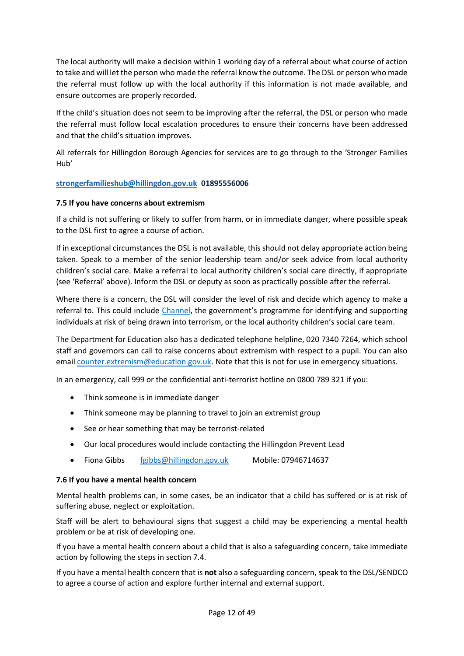The local authority will make a decision within 1 working day of a referral about what course of action to take and will let the person who made the referral know the outcome. The DSL or person who made the referral must follow up with the local authority if this information is not made available, and ensure outcomes are properly recorded.

If the child's situation does not seem to be improving after the referral, the DSL or person who made the referral must follow local escalation procedures to ensure their concerns have been addressed and that the child's situation improves.

All referrals for Hillingdon Borough Agencies for services are to go through to the 'Stronger Families Hub'

## **[strongerfamilieshub@hillingdon.gov.uk](mailto:strongerfamilieshub@hillingdon.gov.uk) 01895556006**

## **7.5 If you have concerns about extremism**

If a child is not suffering or likely to suffer from harm, or in immediate danger, where possible speak to the DSL first to agree a course of action.

If in exceptional circumstances the DSL is not available, this should not delay appropriate action being taken. Speak to a member of the senior leadership team and/or seek advice from local authority children's social care. Make a referral to local authority children's social care directly, if appropriate (see 'Referral' above). Inform the DSL or deputy as soon as practically possible after the referral.

Where there is a concern, the DSL will consider the level of risk and decide which agency to make a referral to. This could include [Channel,](https://www.gov.uk/government/publications/channel-guidance) the government's programme for identifying and supporting individuals at risk of being drawn into terrorism, or the local authority children's social care team.

The Department for Education also has a dedicated telephone helpline, 020 7340 7264, which school staff and governors can call to raise concerns about extremism with respect to a pupil. You can also email [counter.extremism@education.gov.uk.](mailto:counter.extremism@education.gov.uk) Note that this is not for use in emergency situations.

In an emergency, call 999 or the confidential anti-terrorist hotline on 0800 789 321 if you:

- Think someone is in immediate danger
- Think someone may be planning to travel to join an extremist group
- See or hear something that may be terrorist-related
- Our local procedures would include contacting the Hillingdon Prevent Lead
- Fiona Gibbs [fgibbs@hillingdon.gov.uk](mailto:fgibbs@hillingdon.gov.uk) Mobile: 07946714637

#### <span id="page-11-0"></span>**7.6 If you have a mental health concern**

Mental health problems can, in some cases, be an indicator that a child has suffered or is at risk of suffering abuse, neglect or exploitation.

Staff will be alert to behavioural signs that suggest a child may be experiencing a mental health problem or be at risk of developing one.

If you have a mental health concern about a child that is also a safeguarding concern, take immediate action by following the steps in section 7.4.

If you have a mental health concern that is **not** also a safeguarding concern, speak to the DSL/SENDCO to agree a course of action and explore further internal and external support.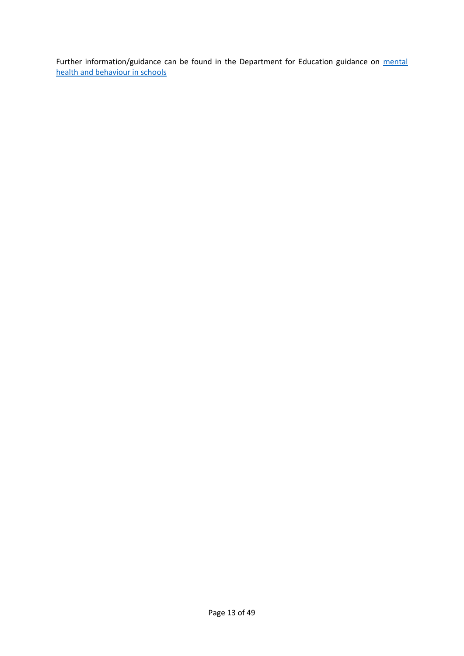Further information/guidance can be found in the Department for Education guidance on mental [health and behaviour in schools](https://www.gov.uk/government/publications/mental-health-and-behaviour-in-schools--2)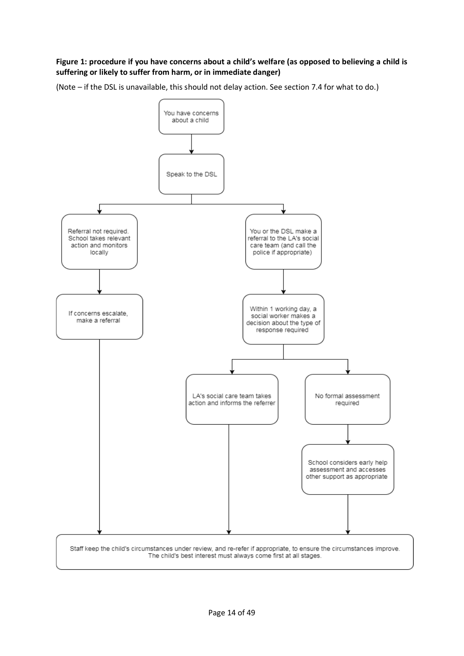## **Figure 1: procedure if you have concerns about a child's welfare (as opposed to believing a child is suffering or likely to suffer from harm, or in immediate danger)**

(Note – if the DSL is unavailable, this should not delay action. See section 7.4 for what to do.)

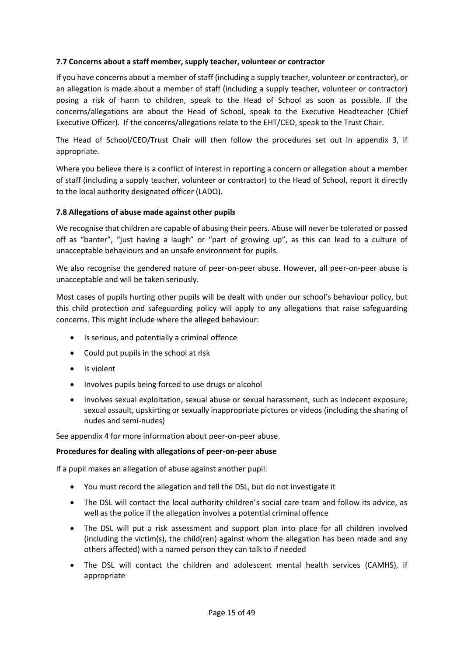## <span id="page-14-0"></span>**7.7 Concerns about a staff member, supply teacher, volunteer or contractor**

If you have concerns about a member of staff (including a supply teacher, volunteer or contractor), or an allegation is made about a member of staff (including a supply teacher, volunteer or contractor) posing a risk of harm to children, speak to the Head of School as soon as possible. If the concerns/allegations are about the Head of School, speak to the Executive Headteacher (Chief Executive Officer). If the concerns/allegations relate to the EHT/CEO, speak to the Trust Chair.

The Head of School/CEO/Trust Chair will then follow the procedures set out in appendix 3, if appropriate.

Where you believe there is a conflict of interest in reporting a concern or allegation about a member of staff (including a supply teacher, volunteer or contractor) to the Head of School, report it directly to the local authority designated officer (LADO).

#### <span id="page-14-1"></span>**7.8 Allegations of abuse made against other pupils**

We recognise that children are capable of abusing their peers. Abuse will never be tolerated or passed off as "banter", "just having a laugh" or "part of growing up", as this can lead to a culture of unacceptable behaviours and an unsafe environment for pupils.

We also recognise the gendered nature of peer-on-peer abuse. However, all peer-on-peer abuse is unacceptable and will be taken seriously.

Most cases of pupils hurting other pupils will be dealt with under our school's behaviour policy, but this child protection and safeguarding policy will apply to any allegations that raise safeguarding concerns. This might include where the alleged behaviour:

- Is serious, and potentially a criminal offence
- Could put pupils in the school at risk
- Is violent
- Involves pupils being forced to use drugs or alcohol
- Involves sexual exploitation, sexual abuse or sexual harassment, such as indecent exposure, sexual assault, upskirting or sexually inappropriate pictures or videos (including the sharing of nudes and semi-nudes)

See appendix 4 for more information about peer-on-peer abuse.

#### **Procedures for dealing with allegations of peer-on-peer abuse**

If a pupil makes an allegation of abuse against another pupil:

- You must record the allegation and tell the DSL, but do not investigate it
- The DSL will contact the local authority children's social care team and follow its advice, as well as the police if the allegation involves a potential criminal offence
- The DSL will put a risk assessment and support plan into place for all children involved (including the victim(s), the child(ren) against whom the allegation has been made and any others affected) with a named person they can talk to if needed
- The DSL will contact the children and adolescent mental health services (CAMHS), if appropriate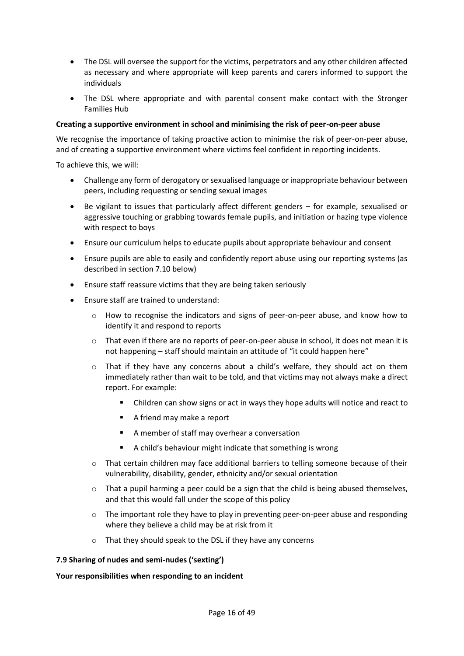- The DSL will oversee the support for the victims, perpetrators and any other children affected as necessary and where appropriate will keep parents and carers informed to support the individuals
- The DSL where appropriate and with parental consent make contact with the Stronger Families Hub

#### **Creating a supportive environment in school and minimising the risk of peer-on-peer abuse**

We recognise the importance of taking proactive action to minimise the risk of peer-on-peer abuse, and of creating a supportive environment where victims feel confident in reporting incidents.

To achieve this, we will:

- Challenge any form of derogatory or sexualised language or inappropriate behaviour between peers, including requesting or sending sexual images
- Be vigilant to issues that particularly affect different genders for example, sexualised or aggressive touching or grabbing towards female pupils, and initiation or hazing type violence with respect to boys
- Ensure our curriculum helps to educate pupils about appropriate behaviour and consent
- Ensure pupils are able to easily and confidently report abuse using our reporting systems (as described in section 7.10 below)
- Ensure staff reassure victims that they are being taken seriously
- Ensure staff are trained to understand:
	- o How to recognise the indicators and signs of peer-on-peer abuse, and know how to identify it and respond to reports
	- $\circ$  That even if there are no reports of peer-on-peer abuse in school, it does not mean it is not happening – staff should maintain an attitude of "it could happen here"
	- $\circ$  That if they have any concerns about a child's welfare, they should act on them immediately rather than wait to be told, and that victims may not always make a direct report. For example:
		- Children can show signs or act in ways they hope adults will notice and react to
		- A friend may make a report
		- A member of staff may overhear a conversation
		- A child's behaviour might indicate that something is wrong
	- o That certain children may face additional barriers to telling someone because of their vulnerability, disability, gender, ethnicity and/or sexual orientation
	- $\circ$  That a pupil harming a peer could be a sign that the child is being abused themselves, and that this would fall under the scope of this policy
	- o The important role they have to play in preventing peer-on-peer abuse and responding where they believe a child may be at risk from it
	- o That they should speak to the DSL if they have any concerns

#### <span id="page-15-0"></span>**7.9 Sharing of nudes and semi-nudes ('sexting')**

#### **Your responsibilities when responding to an incident**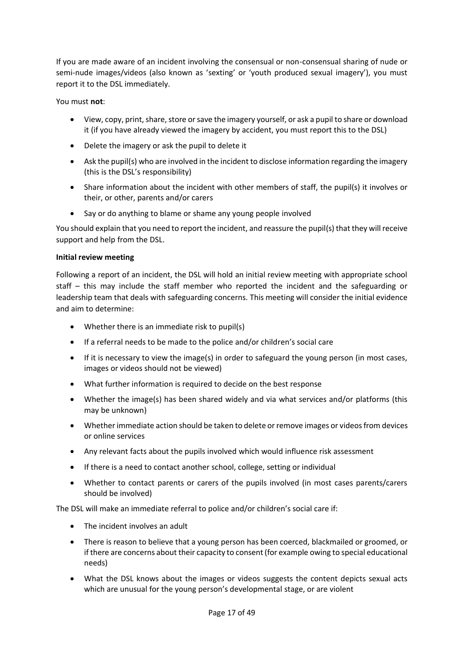If you are made aware of an incident involving the consensual or non-consensual sharing of nude or semi-nude images/videos (also known as 'sexting' or 'youth produced sexual imagery'), you must report it to the DSL immediately.

You must **not**:

- View, copy, print, share, store or save the imagery yourself, or ask a pupil to share or download it (if you have already viewed the imagery by accident, you must report this to the DSL)
- Delete the imagery or ask the pupil to delete it
- Ask the pupil(s) who are involved in the incident to disclose information regarding the imagery (this is the DSL's responsibility)
- Share information about the incident with other members of staff, the pupil(s) it involves or their, or other, parents and/or carers
- Say or do anything to blame or shame any young people involved

You should explain that you need to report the incident, and reassure the pupil(s) that they will receive support and help from the DSL.

## **Initial review meeting**

Following a report of an incident, the DSL will hold an initial review meeting with appropriate school staff – this may include the staff member who reported the incident and the safeguarding or leadership team that deals with safeguarding concerns. This meeting will consider the initial evidence and aim to determine:

- Whether there is an immediate risk to pupil(s)
- If a referral needs to be made to the police and/or children's social care
- If it is necessary to view the image(s) in order to safeguard the young person (in most cases, images or videos should not be viewed)
- What further information is required to decide on the best response
- Whether the image(s) has been shared widely and via what services and/or platforms (this may be unknown)
- Whether immediate action should be taken to delete or remove images or videos from devices or online services
- Any relevant facts about the pupils involved which would influence risk assessment
- If there is a need to contact another school, college, setting or individual
- Whether to contact parents or carers of the pupils involved (in most cases parents/carers should be involved)

The DSL will make an immediate referral to police and/or children's social care if:

- The incident involves an adult
- There is reason to believe that a young person has been coerced, blackmailed or groomed, or if there are concerns about their capacity to consent (for example owing to special educational needs)
- What the DSL knows about the images or videos suggests the content depicts sexual acts which are unusual for the young person's developmental stage, or are violent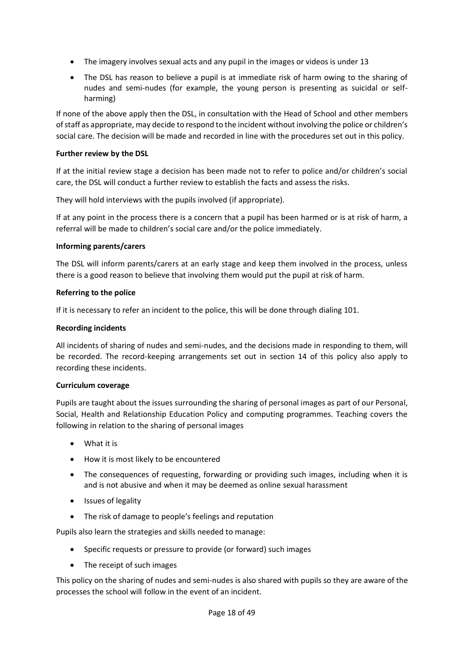- The imagery involves sexual acts and any pupil in the images or videos is under 13
- The DSL has reason to believe a pupil is at immediate risk of harm owing to the sharing of nudes and semi-nudes (for example, the young person is presenting as suicidal or selfharming)

If none of the above apply then the DSL, in consultation with the Head of School and other members of staff as appropriate, may decide to respond to the incident without involving the police or children's social care. The decision will be made and recorded in line with the procedures set out in this policy.

## **Further review by the DSL**

If at the initial review stage a decision has been made not to refer to police and/or children's social care, the DSL will conduct a further review to establish the facts and assess the risks.

They will hold interviews with the pupils involved (if appropriate).

If at any point in the process there is a concern that a pupil has been harmed or is at risk of harm, a referral will be made to children's social care and/or the police immediately.

## **Informing parents/carers**

The DSL will inform parents/carers at an early stage and keep them involved in the process, unless there is a good reason to believe that involving them would put the pupil at risk of harm.

## **Referring to the police**

If it is necessary to refer an incident to the police, this will be done through dialing 101.

## **Recording incidents**

All incidents of sharing of nudes and semi-nudes, and the decisions made in responding to them, will be recorded. The record-keeping arrangements set out in section 14 of this policy also apply to recording these incidents.

#### **Curriculum coverage**

Pupils are taught about the issues surrounding the sharing of personal images as part of our Personal, Social, Health and Relationship Education Policy and computing programmes. Teaching covers the following in relation to the sharing of personal images

- What it is
- How it is most likely to be encountered
- The consequences of requesting, forwarding or providing such images, including when it is and is not abusive and when it may be deemed as online sexual harassment
- Issues of legality
- The risk of damage to people's feelings and reputation

Pupils also learn the strategies and skills needed to manage:

- Specific requests or pressure to provide (or forward) such images
- The receipt of such images

This policy on the sharing of nudes and semi-nudes is also shared with pupils so they are aware of the processes the school will follow in the event of an incident.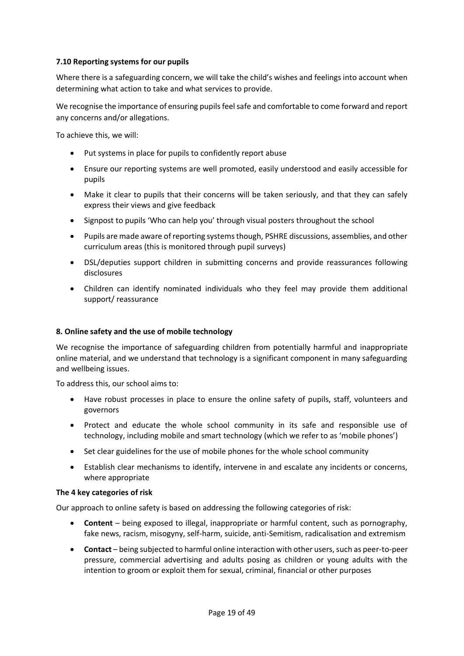## <span id="page-18-0"></span>**7.10 Reporting systems for our pupils**

Where there is a safeguarding concern, we will take the child's wishes and feelings into account when determining what action to take and what services to provide.

We recognise the importance of ensuring pupils feel safe and comfortable to come forward and report any concerns and/or allegations.

To achieve this, we will:

- Put systems in place for pupils to confidently report abuse
- Ensure our reporting systems are well promoted, easily understood and easily accessible for pupils
- Make it clear to pupils that their concerns will be taken seriously, and that they can safely express their views and give feedback
- Signpost to pupils 'Who can help you' through visual posters throughout the school
- Pupils are made aware of reporting systems though, PSHRE discussions, assemblies, and other curriculum areas (this is monitored through pupil surveys)
- DSL/deputies support children in submitting concerns and provide reassurances following disclosures
- Children can identify nominated individuals who they feel may provide them additional support/ reassurance

#### <span id="page-18-1"></span>**8. Online safety and the use of mobile technology**

We recognise the importance of safeguarding children from potentially harmful and inappropriate online material, and we understand that technology is a significant component in many safeguarding and wellbeing issues.

To address this, our school aims to:

- Have robust processes in place to ensure the online safety of pupils, staff, volunteers and governors
- Protect and educate the whole school community in its safe and responsible use of technology, including mobile and smart technology (which we refer to as 'mobile phones')
- Set clear guidelines for the use of mobile phones for the whole school community
- Establish clear mechanisms to identify, intervene in and escalate any incidents or concerns, where appropriate

#### **The 4 key categories of risk**

Our approach to online safety is based on addressing the following categories of risk:

- **Content** being exposed to illegal, inappropriate or harmful content, such as pornography, fake news, racism, misogyny, self-harm, suicide, anti-Semitism, radicalisation and extremism
- **Contact** being subjected to harmful online interaction with other users, such as peer-to-peer pressure, commercial advertising and adults posing as children or young adults with the intention to groom or exploit them for sexual, criminal, financial or other purposes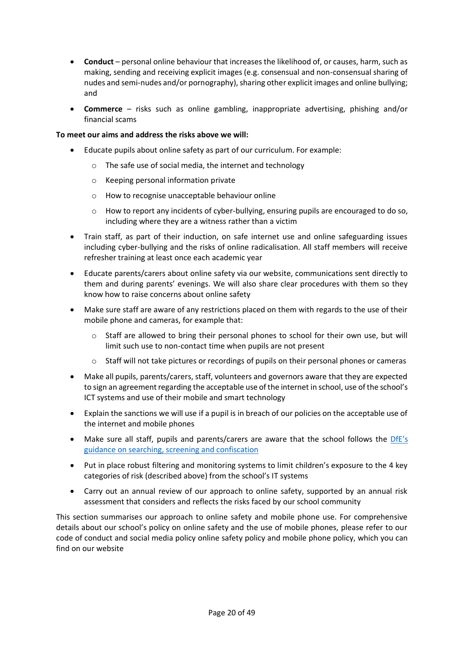- **Conduct** personal online behaviour that increases the likelihood of, or causes, harm, such as making, sending and receiving explicit images (e.g. consensual and non-consensual sharing of nudes and semi-nudes and/or pornography), sharing other explicit images and online bullying; and
- **Commerce** risks such as online gambling, inappropriate advertising, phishing and/or financial scams

## **To meet our aims and address the risks above we will:**

- Educate pupils about online safety as part of our curriculum. For example:
	- o The safe use of social media, the internet and technology
	- o Keeping personal information private
	- o How to recognise unacceptable behaviour online
	- o How to report any incidents of cyber-bullying, ensuring pupils are encouraged to do so, including where they are a witness rather than a victim
- Train staff, as part of their induction, on safe internet use and online safeguarding issues including cyber-bullying and the risks of online radicalisation. All staff members will receive refresher training at least once each academic year
- Educate parents/carers about online safety via our website, communications sent directly to them and during parents' evenings. We will also share clear procedures with them so they know how to raise concerns about online safety
- Make sure staff are aware of any restrictions placed on them with regards to the use of their mobile phone and cameras, for example that:
	- o Staff are allowed to bring their personal phones to school for their own use, but will limit such use to non-contact time when pupils are not present
	- o Staff will not take pictures or recordings of pupils on their personal phones or cameras
- Make all pupils, parents/carers, staff, volunteers and governors aware that they are expected to sign an agreement regarding the acceptable use of the internet in school, use of the school's ICT systems and use of their mobile and smart technology
- Explain the sanctions we will use if a pupil is in breach of our policies on the acceptable use of the internet and mobile phones
- Make sure all staff, pupils and parents/carers are aware that the school follows the [DfE's](https://www.gov.uk/government/publications/searching-screening-and-confiscation)  [guidance on searching, screening and confiscation](https://www.gov.uk/government/publications/searching-screening-and-confiscation)
- Put in place robust filtering and monitoring systems to limit children's exposure to the 4 key categories of risk (described above) from the school's IT systems
- Carry out an annual review of our approach to online safety, supported by an annual risk assessment that considers and reflects the risks faced by our school community

This section summarises our approach to online safety and mobile phone use. For comprehensive details about our school's policy on online safety and the use of mobile phones, please refer to our code of conduct and social media policy online safety policy and mobile phone policy, which you can find on our website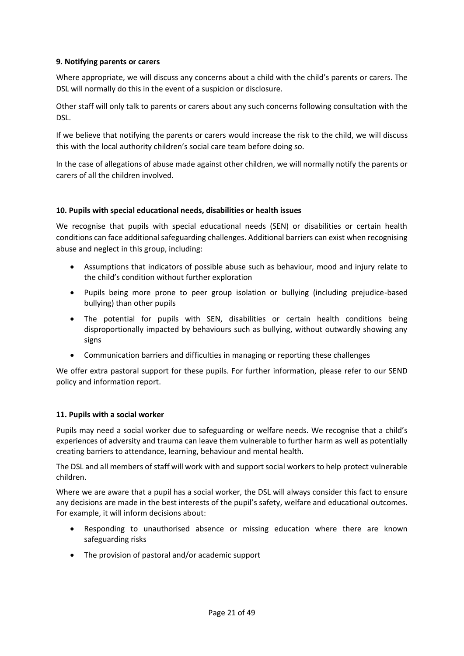## <span id="page-20-0"></span>**9. Notifying parents or carers**

Where appropriate, we will discuss any concerns about a child with the child's parents or carers. The DSL will normally do this in the event of a suspicion or disclosure.

Other staff will only talk to parents or carers about any such concerns following consultation with the DSL.

If we believe that notifying the parents or carers would increase the risk to the child, we will discuss this with the local authority children's social care team before doing so.

In the case of allegations of abuse made against other children, we will normally notify the parents or carers of all the children involved.

## <span id="page-20-1"></span>**10. Pupils with special educational needs, disabilities or health issues**

We recognise that pupils with special educational needs (SEN) or disabilities or certain health conditions can face additional safeguarding challenges. Additional barriers can exist when recognising abuse and neglect in this group, including:

- Assumptions that indicators of possible abuse such as behaviour, mood and injury relate to the child's condition without further exploration
- Pupils being more prone to peer group isolation or bullying (including prejudice-based bullying) than other pupils
- The potential for pupils with SEN, disabilities or certain health conditions being disproportionally impacted by behaviours such as bullying, without outwardly showing any signs
- Communication barriers and difficulties in managing or reporting these challenges

We offer extra pastoral support for these pupils. For further information, please refer to our SEND policy and information report.

## <span id="page-20-2"></span>**11. Pupils with a social worker**

Pupils may need a social worker due to safeguarding or welfare needs. We recognise that a child's experiences of adversity and trauma can leave them vulnerable to further harm as well as potentially creating barriers to attendance, learning, behaviour and mental health.

The DSL and all members of staff will work with and support social workers to help protect vulnerable children.

Where we are aware that a pupil has a social worker, the DSL will always consider this fact to ensure any decisions are made in the best interests of the pupil's safety, welfare and educational outcomes. For example, it will inform decisions about:

- Responding to unauthorised absence or missing education where there are known safeguarding risks
- The provision of pastoral and/or academic support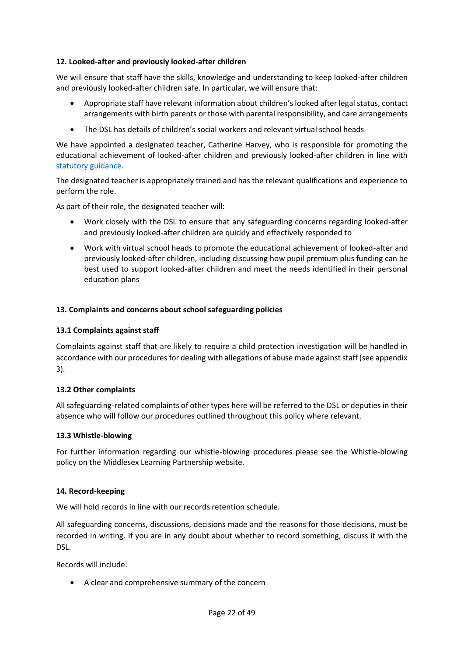## <span id="page-21-0"></span>**12. Looked-after and previously looked-after children**

We will ensure that staff have the skills, knowledge and understanding to keep looked-after children and previously looked-after children safe. In particular, we will ensure that:

- Appropriate staff have relevant information about children's looked after legal status, contact arrangements with birth parents or those with parental responsibility, and care arrangements
- The DSL has details of children's social workers and relevant virtual school heads

We have appointed a designated teacher, Catherine Harvey, who is responsible for promoting the educational achievement of looked-after children and previously looked-after children in line with [statutory guidance.](https://www.gov.uk/government/publications/designated-teacher-for-looked-after-children)

The designated teacher is appropriately trained and has the relevant qualifications and experience to perform the role.

As part of their role, the designated teacher will:

- Work closely with the DSL to ensure that any safeguarding concerns regarding looked-after and previously looked-after children are quickly and effectively responded to
- Work with virtual school heads to promote the educational achievement of looked-after and previously looked-after children, including discussing how pupil premium plus funding can be best used to support looked-after children and meet the needs identified in their personal education plans

## <span id="page-21-1"></span>**13. Complaints and concerns about school safeguarding policies**

#### <span id="page-21-2"></span>**13.1 Complaints against staff**

Complaints against staff that are likely to require a child protection investigation will be handled in accordance with our procedures for dealing with allegations of abuse made against staff (see appendix 3).

#### <span id="page-21-3"></span>**13.2 Other complaints**

All safeguarding-related complaints of other types here will be referred to the DSL or deputies in their absence who will follow our procedures outlined throughout this policy where relevant.

#### <span id="page-21-4"></span>**13.3 Whistle-blowing**

For further information regarding our whistle-blowing procedures please see the Whistle-blowing policy on the Middlesex Learning Partnership website.

#### <span id="page-21-5"></span>**14. Record-keeping**

We will hold records in line with our records retention schedule.

All safeguarding concerns, discussions, decisions made and the reasons for those decisions, must be recorded in writing. If you are in any doubt about whether to record something, discuss it with the DSL.

Records will include:

• A clear and comprehensive summary of the concern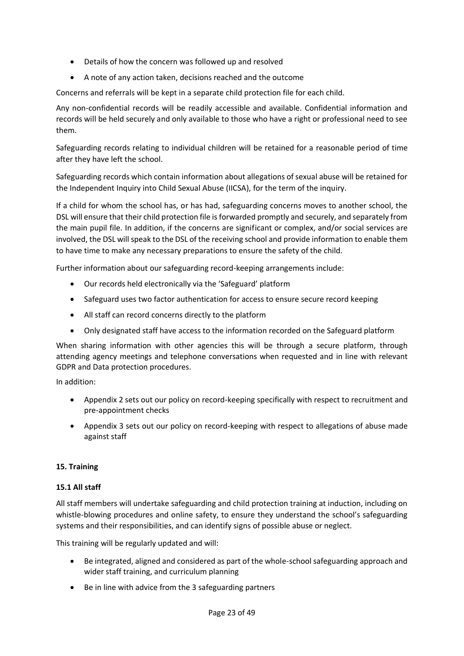- Details of how the concern was followed up and resolved
- A note of any action taken, decisions reached and the outcome

Concerns and referrals will be kept in a separate child protection file for each child.

Any non-confidential records will be readily accessible and available. Confidential information and records will be held securely and only available to those who have a right or professional need to see them.

Safeguarding records relating to individual children will be retained for a reasonable period of time after they have left the school.

Safeguarding records which contain information about allegations of sexual abuse will be retained for the Independent Inquiry into Child Sexual Abuse (IICSA), for the term of the inquiry.

If a child for whom the school has, or has had, safeguarding concerns moves to another school, the DSL will ensure that their child protection file is forwarded promptly and securely, and separately from the main pupil file. In addition, if the concerns are significant or complex, and/or social services are involved, the DSL will speak to the DSL of the receiving school and provide information to enable them to have time to make any necessary preparations to ensure the safety of the child.

Further information about our safeguarding record-keeping arrangements include:

- Our records held electronically via the 'Safeguard' platform
- Safeguard uses two factor authentication for access to ensure secure record keeping
- All staff can record concerns directly to the platform
- Only designated staff have access to the information recorded on the Safeguard platform

When sharing information with other agencies this will be through a secure platform, through attending agency meetings and telephone conversations when requested and in line with relevant GDPR and Data protection procedures.

In addition:

- Appendix 2 sets out our policy on record-keeping specifically with respect to recruitment and pre-appointment checks
- Appendix 3 sets out our policy on record-keeping with respect to allegations of abuse made against staff

#### <span id="page-22-0"></span>**15. Training**

#### <span id="page-22-1"></span>**15.1 All staff**

All staff members will undertake safeguarding and child protection training at induction, including on whistle-blowing procedures and online safety, to ensure they understand the school's safeguarding systems and their responsibilities, and can identify signs of possible abuse or neglect.

This training will be regularly updated and will:

- Be integrated, aligned and considered as part of the whole-school safeguarding approach and wider staff training, and curriculum planning
- Be in line with advice from the 3 safeguarding partners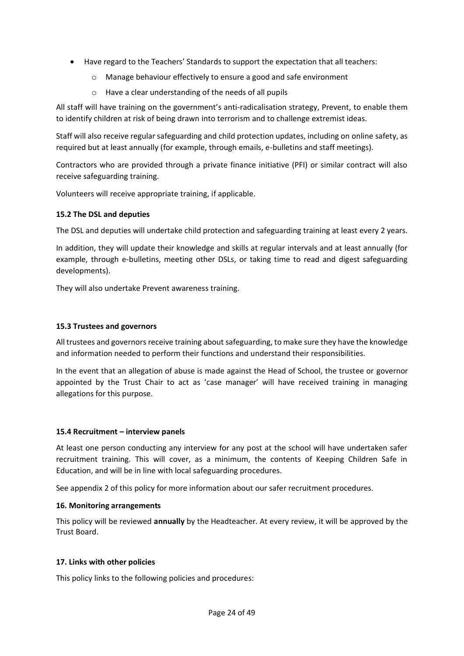- Have regard to the Teachers' Standards to support the expectation that all teachers:
	- o Manage behaviour effectively to ensure a good and safe environment
	- o Have a clear understanding of the needs of all pupils

All staff will have training on the government's anti-radicalisation strategy, Prevent, to enable them to identify children at risk of being drawn into terrorism and to challenge extremist ideas.

Staff will also receive regular safeguarding and child protection updates, including on online safety, as required but at least annually (for example, through emails, e-bulletins and staff meetings).

Contractors who are provided through a private finance initiative (PFI) or similar contract will also receive safeguarding training.

Volunteers will receive appropriate training, if applicable.

## <span id="page-23-0"></span>**15.2 The DSL and deputies**

The DSL and deputies will undertake child protection and safeguarding training at least every 2 years.

In addition, they will update their knowledge and skills at regular intervals and at least annually (for example, through e-bulletins, meeting other DSLs, or taking time to read and digest safeguarding developments).

They will also undertake Prevent awareness training.

## **15.3 Trustees and governors**

All trustees and governors receive training about safeguarding, to make sure they have the knowledge and information needed to perform their functions and understand their responsibilities.

In the event that an allegation of abuse is made against the Head of School, the trustee or governor appointed by the Trust Chair to act as 'case manager' will have received training in managing allegations for this purpose.

## <span id="page-23-1"></span>**15.4 Recruitment – interview panels**

At least one person conducting any interview for any post at the school will have undertaken safer recruitment training. This will cover, as a minimum, the contents of Keeping Children Safe in Education, and will be in line with local safeguarding procedures.

See appendix 2 of this policy for more information about our safer recruitment procedures.

#### <span id="page-23-2"></span>**16. Monitoring arrangements**

This policy will be reviewed **annually** by the Headteacher. At every review, it will be approved by the Trust Board.

## <span id="page-23-3"></span>**17. Links with other policies**

This policy links to the following policies and procedures: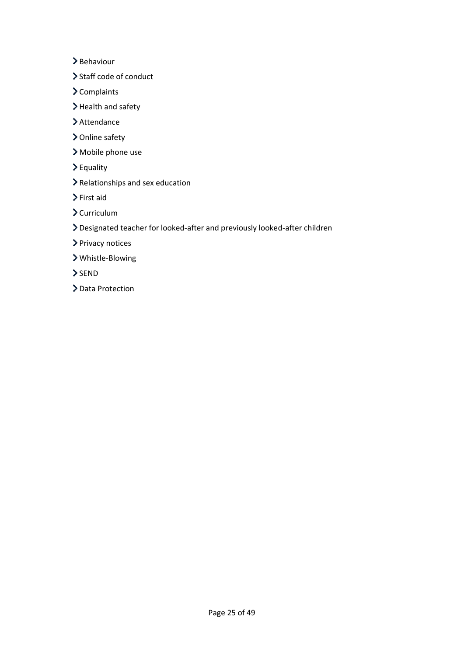> Behaviour

- > Staff code of conduct
- > Complaints
- > Health and safety
- > Attendance
- > Online safety
- Mobile phone use
- Equality
- Relationships and sex education
- First aid
- $\sum$  Curriculum
- Designated teacher for looked-after and previously looked-after children
- > Privacy notices
- Whistle-Blowing
- $>$ SEND
- > Data Protection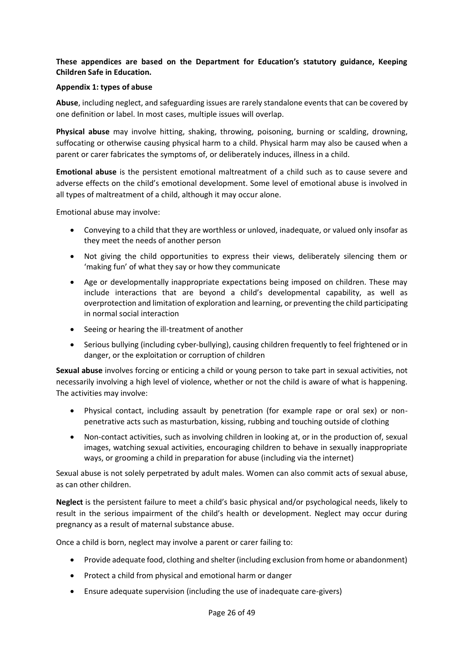## **These appendices are based on the Department for Education's statutory guidance, Keeping Children Safe in Education.**

#### <span id="page-25-0"></span>**Appendix 1: types of abuse**

**Abuse**, including neglect, and safeguarding issues are rarely standalone events that can be covered by one definition or label. In most cases, multiple issues will overlap.

**Physical abuse** may involve hitting, shaking, throwing, poisoning, burning or scalding, drowning, suffocating or otherwise causing physical harm to a child. Physical harm may also be caused when a parent or carer fabricates the symptoms of, or deliberately induces, illness in a child.

**Emotional abuse** is the persistent emotional maltreatment of a child such as to cause severe and adverse effects on the child's emotional development. Some level of emotional abuse is involved in all types of maltreatment of a child, although it may occur alone.

Emotional abuse may involve:

- Conveying to a child that they are worthless or unloved, inadequate, or valued only insofar as they meet the needs of another person
- Not giving the child opportunities to express their views, deliberately silencing them or 'making fun' of what they say or how they communicate
- Age or developmentally inappropriate expectations being imposed on children. These may include interactions that are beyond a child's developmental capability, as well as overprotection and limitation of exploration and learning, or preventing the child participating in normal social interaction
- Seeing or hearing the ill-treatment of another
- Serious bullying (including cyber-bullying), causing children frequently to feel frightened or in danger, or the exploitation or corruption of children

**Sexual abuse** involves forcing or enticing a child or young person to take part in sexual activities, not necessarily involving a high level of violence, whether or not the child is aware of what is happening. The activities may involve:

- Physical contact, including assault by penetration (for example rape or oral sex) or nonpenetrative acts such as masturbation, kissing, rubbing and touching outside of clothing
- Non-contact activities, such as involving children in looking at, or in the production of, sexual images, watching sexual activities, encouraging children to behave in sexually inappropriate ways, or grooming a child in preparation for abuse (including via the internet)

Sexual abuse is not solely perpetrated by adult males. Women can also commit acts of sexual abuse, as can other children.

**Neglect** is the persistent failure to meet a child's basic physical and/or psychological needs, likely to result in the serious impairment of the child's health or development. Neglect may occur during pregnancy as a result of maternal substance abuse.

Once a child is born, neglect may involve a parent or carer failing to:

- Provide adequate food, clothing and shelter (including exclusion from home or abandonment)
- Protect a child from physical and emotional harm or danger
- Ensure adequate supervision (including the use of inadequate care-givers)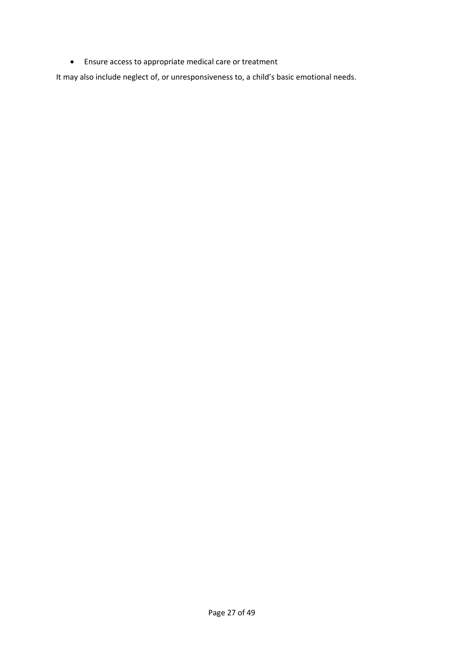• Ensure access to appropriate medical care or treatment

It may also include neglect of, or unresponsiveness to, a child's basic emotional needs.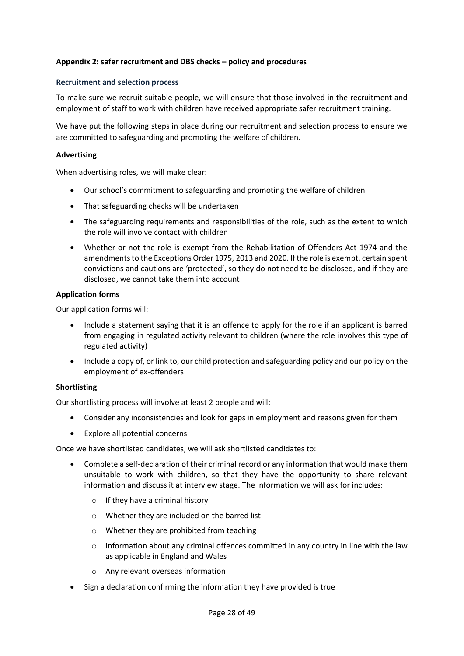## <span id="page-27-0"></span>**Appendix 2: safer recruitment and DBS checks – policy and procedures**

#### **Recruitment and selection process**

To make sure we recruit suitable people, we will ensure that those involved in the recruitment and employment of staff to work with children have received appropriate safer recruitment training.

We have put the following steps in place during our recruitment and selection process to ensure we are committed to safeguarding and promoting the welfare of children.

#### **Advertising**

When advertising roles, we will make clear:

- Our school's commitment to safeguarding and promoting the welfare of children
- That safeguarding checks will be undertaken
- The safeguarding requirements and responsibilities of the role, such as the extent to which the role will involve contact with children
- Whether or not the role is exempt from the Rehabilitation of Offenders Act 1974 and the amendments to the Exceptions Order 1975, 2013 and 2020. If the role is exempt, certain spent convictions and cautions are 'protected', so they do not need to be disclosed, and if they are disclosed, we cannot take them into account

#### **Application forms**

Our application forms will:

- Include a statement saying that it is an offence to apply for the role if an applicant is barred from engaging in regulated activity relevant to children (where the role involves this type of regulated activity)
- Include a copy of, or link to, our child protection and safeguarding policy and our policy on the employment of ex-offenders

#### **Shortlisting**

Our shortlisting process will involve at least 2 people and will:

- Consider any inconsistencies and look for gaps in employment and reasons given for them
- Explore all potential concerns

Once we have shortlisted candidates, we will ask shortlisted candidates to:

- Complete a self-declaration of their criminal record or any information that would make them unsuitable to work with children, so that they have the opportunity to share relevant information and discuss it at interview stage. The information we will ask for includes:
	- o If they have a criminal history
	- o Whether they are included on the barred list
	- o Whether they are prohibited from teaching
	- $\circ$  Information about any criminal offences committed in any country in line with the law as applicable in England and Wales
	- o Any relevant overseas information
- Sign a declaration confirming the information they have provided is true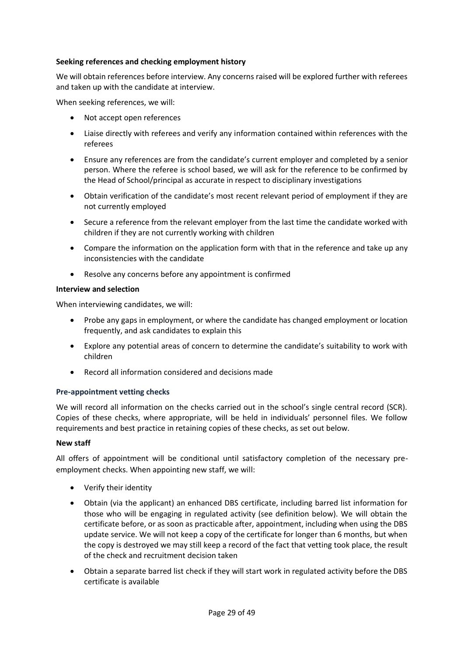## **Seeking references and checking employment history**

We will obtain references before interview. Any concerns raised will be explored further with referees and taken up with the candidate at interview.

When seeking references, we will:

- Not accept open references
- Liaise directly with referees and verify any information contained within references with the referees
- Ensure any references are from the candidate's current employer and completed by a senior person. Where the referee is school based, we will ask for the reference to be confirmed by the Head of School/principal as accurate in respect to disciplinary investigations
- Obtain verification of the candidate's most recent relevant period of employment if they are not currently employed
- Secure a reference from the relevant employer from the last time the candidate worked with children if they are not currently working with children
- Compare the information on the application form with that in the reference and take up any inconsistencies with the candidate
- Resolve any concerns before any appointment is confirmed

#### **Interview and selection**

When interviewing candidates, we will:

- Probe any gaps in employment, or where the candidate has changed employment or location frequently, and ask candidates to explain this
- Explore any potential areas of concern to determine the candidate's suitability to work with children
- Record all information considered and decisions made

#### **Pre-appointment vetting checks**

We will record all information on the checks carried out in the school's single central record (SCR). Copies of these checks, where appropriate, will be held in individuals' personnel files. We follow requirements and best practice in retaining copies of these checks, as set out below.

#### **New staff**

All offers of appointment will be conditional until satisfactory completion of the necessary preemployment checks. When appointing new staff, we will:

- Verify their identity
- Obtain (via the applicant) an enhanced DBS certificate, including barred list information for those who will be engaging in regulated activity (see definition below). We will obtain the certificate before, or as soon as practicable after, appointment, including when using the DBS update service. We will not keep a copy of the certificate for longer than 6 months, but when the copy is destroyed we may still keep a record of the fact that vetting took place, the result of the check and recruitment decision taken
- Obtain a separate barred list check if they will start work in regulated activity before the DBS certificate is available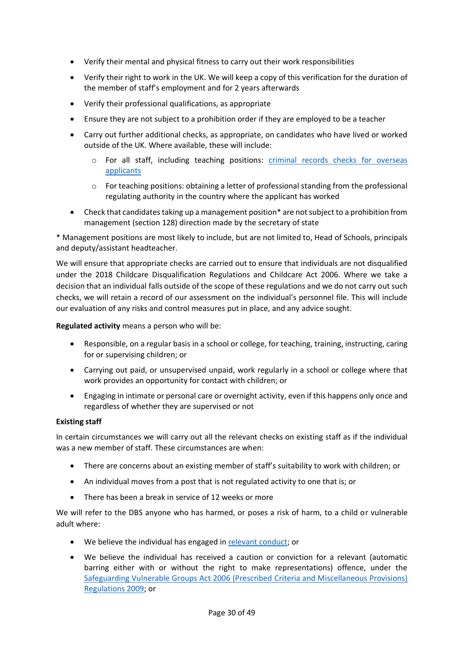- Verify their mental and physical fitness to carry out their work responsibilities
- Verify their right to work in the UK. We will keep a copy of this verification for the duration of the member of staff's employment and for 2 years afterwards
- Verify their professional qualifications, as appropriate
- Ensure they are not subject to a prohibition order if they are employed to be a teacher
- Carry out further additional checks, as appropriate, on candidates who have lived or worked outside of the UK. Where available, these will include:
	- o For all staff, including teaching positions: [criminal records checks for overseas](https://www.gov.uk/government/publications/criminal-records-checks-for-overseas-applicants)  [applicants](https://www.gov.uk/government/publications/criminal-records-checks-for-overseas-applicants)
	- $\circ$  For teaching positions: obtaining a letter of professional standing from the professional regulating authority in the country where the applicant has worked
- Check that candidates taking up a management position\* are not subject to a prohibition from management (section 128) direction made by the secretary of state

\* Management positions are most likely to include, but are not limited to, Head of Schools, principals and deputy/assistant headteacher.

We will ensure that appropriate checks are carried out to ensure that individuals are not disqualified under the 2018 Childcare Disqualification Regulations and Childcare Act 2006. Where we take a decision that an individual falls outside of the scope of these regulations and we do not carry out such checks, we will retain a record of our assessment on the individual's personnel file. This will include our evaluation of any risks and control measures put in place, and any advice sought.

**Regulated activity** means a person who will be:

- Responsible, on a regular basis in a school or college, for teaching, training, instructing, caring for or supervising children; or
- Carrying out paid, or unsupervised unpaid, work regularly in a school or college where that work provides an opportunity for contact with children; or
- Engaging in intimate or personal care or overnight activity, even if this happens only once and regardless of whether they are supervised or not

## **Existing staff**

In certain circumstances we will carry out all the relevant checks on existing staff as if the individual was a new member of staff. These circumstances are when:

- There are concerns about an existing member of staff's suitability to work with children; or
- An individual moves from a post that is not regulated activity to one that is; or
- There has been a break in service of 12 weeks or more

We will refer to the DBS anyone who has harmed, or poses a risk of harm, to a child or vulnerable adult where:

- We believe the individual has engaged in [relevant conduct;](https://www.gov.uk/guidance/making-barring-referrals-to-the-dbs#relevant-conduct-in-relation-to-children) or
- We believe the individual has received a caution or conviction for a relevant (automatic barring either with or without the right to make representations) offence, under the [Safeguarding Vulnerable Groups Act 2006 \(Prescribed](http://www.legislation.gov.uk/uksi/2009/37/contents/made) Criteria and Miscellaneous Provisions) [Regulations 2009;](http://www.legislation.gov.uk/uksi/2009/37/contents/made) or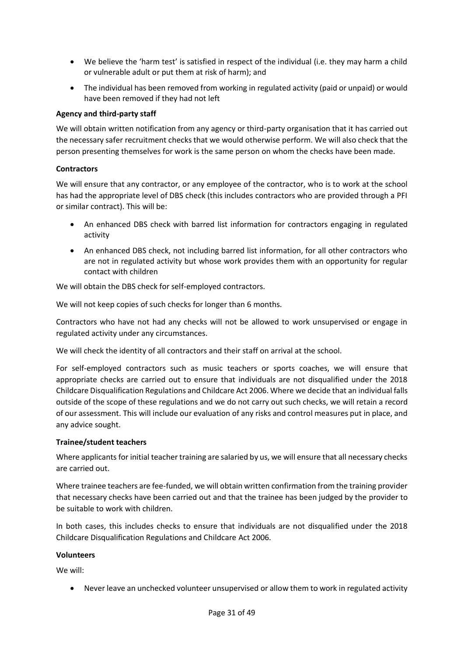- We believe the 'harm test' is satisfied in respect of the individual (i.e. they may harm a child or vulnerable adult or put them at risk of harm); and
- The individual has been removed from working in regulated activity (paid or unpaid) or would have been removed if they had not left

## **Agency and third-party staff**

We will obtain written notification from any agency or third-party organisation that it has carried out the necessary safer recruitment checks that we would otherwise perform. We will also check that the person presenting themselves for work is the same person on whom the checks have been made.

## **Contractors**

We will ensure that any contractor, or any employee of the contractor, who is to work at the school has had the appropriate level of DBS check (this includes contractors who are provided through a PFI or similar contract). This will be:

- An enhanced DBS check with barred list information for contractors engaging in regulated activity
- An enhanced DBS check, not including barred list information, for all other contractors who are not in regulated activity but whose work provides them with an opportunity for regular contact with children

We will obtain the DBS check for self-employed contractors.

We will not keep copies of such checks for longer than 6 months.

Contractors who have not had any checks will not be allowed to work unsupervised or engage in regulated activity under any circumstances.

We will check the identity of all contractors and their staff on arrival at the school.

For self-employed contractors such as music teachers or sports coaches, we will ensure that appropriate checks are carried out to ensure that individuals are not disqualified under the 2018 Childcare Disqualification Regulations and Childcare Act 2006. Where we decide that an individual falls outside of the scope of these regulations and we do not carry out such checks, we will retain a record of our assessment. This will include our evaluation of any risks and control measures put in place, and any advice sought.

#### **Trainee/student teachers**

Where applicants for initial teacher training are salaried by us, we will ensure that all necessary checks are carried out.

Where trainee teachers are fee-funded, we will obtain written confirmation from the training provider that necessary checks have been carried out and that the trainee has been judged by the provider to be suitable to work with children.

In both cases, this includes checks to ensure that individuals are not disqualified under the 2018 Childcare Disqualification Regulations and Childcare Act 2006.

#### **Volunteers**

We will:

• Never leave an unchecked volunteer unsupervised or allow them to work in regulated activity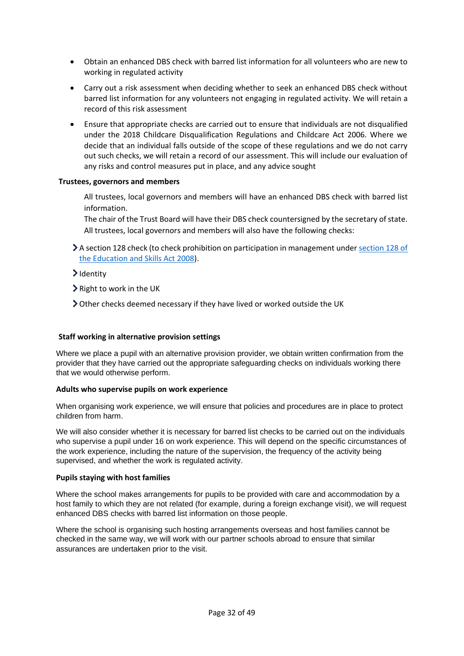- Obtain an enhanced DBS check with barred list information for all volunteers who are new to working in regulated activity
- Carry out a risk assessment when deciding whether to seek an enhanced DBS check without barred list information for any volunteers not engaging in regulated activity. We will retain a record of this risk assessment
- Ensure that appropriate checks are carried out to ensure that individuals are not disqualified under the 2018 Childcare Disqualification Regulations and Childcare Act 2006. Where we decide that an individual falls outside of the scope of these regulations and we do not carry out such checks, we will retain a record of our assessment. This will include our evaluation of any risks and control measures put in place, and any advice sought

#### **Trustees, governors and members**

All trustees, local governors and members will have an enhanced DBS check with barred list information.

The chair of the Trust Board will have their DBS check countersigned by the secretary of state. All trustees, local governors and members will also have the following checks:

- $\blacktriangleright$  A section 128 check (to check prohibition on participation in management under section 128 of [the Education and Skills Act 2008\)](https://www.legislation.gov.uk/ukpga/2008/25/section/128).
- >Identity
- $\blacktriangleright$  Right to work in the UK
- Other checks deemed necessary if they have lived or worked outside the UK

#### **Staff working in alternative provision settings**

Where we place a pupil with an alternative provision provider, we obtain written confirmation from the provider that they have carried out the appropriate safeguarding checks on individuals working there that we would otherwise perform.

#### **Adults who supervise pupils on work experience**

When organising work experience, we will ensure that policies and procedures are in place to protect children from harm.

We will also consider whether it is necessary for barred list checks to be carried out on the individuals who supervise a pupil under 16 on work experience. This will depend on the specific circumstances of the work experience, including the nature of the supervision, the frequency of the activity being supervised, and whether the work is regulated activity.

#### **Pupils staying with host families**

Where the school makes arrangements for pupils to be provided with care and accommodation by a host family to which they are not related (for example, during a foreign exchange visit), we will request enhanced DBS checks with barred list information on those people.

Where the school is organising such hosting arrangements overseas and host families cannot be checked in the same way, we will work with our partner schools abroad to ensure that similar assurances are undertaken prior to the visit.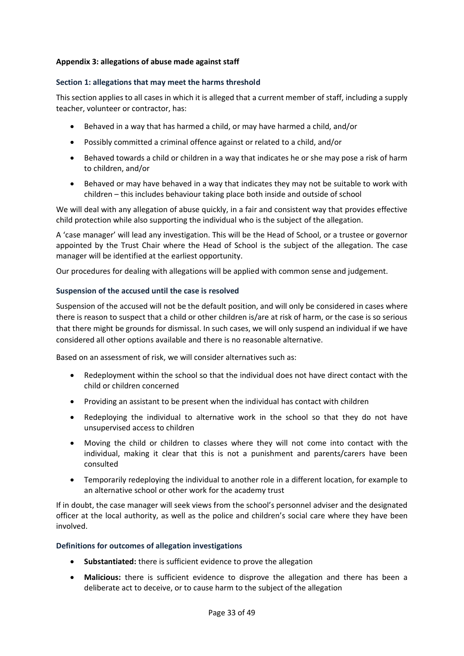## <span id="page-32-0"></span>**Appendix 3: allegations of abuse made against staff**

#### **Section 1: allegations that may meet the harms threshold**

This section applies to all cases in which it is alleged that a current member of staff, including a supply teacher, volunteer or contractor, has:

- Behaved in a way that has harmed a child, or may have harmed a child, and/or
- Possibly committed a criminal offence against or related to a child, and/or
- Behaved towards a child or children in a way that indicates he or she may pose a risk of harm to children, and/or
- Behaved or may have behaved in a way that indicates they may not be suitable to work with children – this includes behaviour taking place both inside and outside of school

We will deal with any allegation of abuse quickly, in a fair and consistent way that provides effective child protection while also supporting the individual who is the subject of the allegation.

A 'case manager' will lead any investigation. This will be the Head of School, or a trustee or governor appointed by the Trust Chair where the Head of School is the subject of the allegation. The case manager will be identified at the earliest opportunity.

Our procedures for dealing with allegations will be applied with common sense and judgement.

## **Suspension of the accused until the case is resolved**

Suspension of the accused will not be the default position, and will only be considered in cases where there is reason to suspect that a child or other children is/are at risk of harm, or the case is so serious that there might be grounds for dismissal. In such cases, we will only suspend an individual if we have considered all other options available and there is no reasonable alternative.

Based on an assessment of risk, we will consider alternatives such as:

- Redeployment within the school so that the individual does not have direct contact with the child or children concerned
- Providing an assistant to be present when the individual has contact with children
- Redeploying the individual to alternative work in the school so that they do not have unsupervised access to children
- Moving the child or children to classes where they will not come into contact with the individual, making it clear that this is not a punishment and parents/carers have been consulted
- Temporarily redeploying the individual to another role in a different location, for example to an alternative school or other work for the academy trust

If in doubt, the case manager will seek views from the school's personnel adviser and the designated officer at the local authority, as well as the police and children's social care where they have been involved.

#### **Definitions for outcomes of allegation investigations**

- **Substantiated:** there is sufficient evidence to prove the allegation
- **Malicious:** there is sufficient evidence to disprove the allegation and there has been a deliberate act to deceive, or to cause harm to the subject of the allegation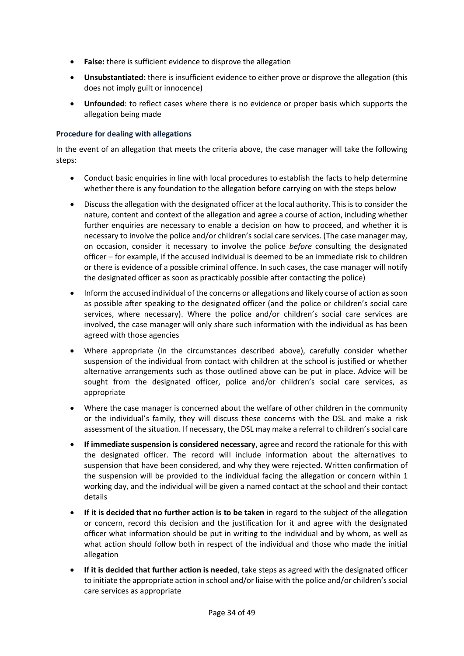- **False:** there is sufficient evidence to disprove the allegation
- **Unsubstantiated:** there is insufficient evidence to either prove or disprove the allegation (this does not imply guilt or innocence)
- **Unfounded**: to reflect cases where there is no evidence or proper basis which supports the allegation being made

## **Procedure for dealing with allegations**

In the event of an allegation that meets the criteria above, the case manager will take the following steps:

- Conduct basic enquiries in line with local procedures to establish the facts to help determine whether there is any foundation to the allegation before carrying on with the steps below
- Discuss the allegation with the designated officer at the local authority. This is to consider the nature, content and context of the allegation and agree a course of action, including whether further enquiries are necessary to enable a decision on how to proceed, and whether it is necessary to involve the police and/or children's social care services. (The case manager may, on occasion, consider it necessary to involve the police *before* consulting the designated officer – for example, if the accused individual is deemed to be an immediate risk to children or there is evidence of a possible criminal offence. In such cases, the case manager will notify the designated officer as soon as practicably possible after contacting the police)
- Inform the accused individual of the concerns or allegations and likely course of action as soon as possible after speaking to the designated officer (and the police or children's social care services, where necessary). Where the police and/or children's social care services are involved, the case manager will only share such information with the individual as has been agreed with those agencies
- Where appropriate (in the circumstances described above), carefully consider whether suspension of the individual from contact with children at the school is justified or whether alternative arrangements such as those outlined above can be put in place. Advice will be sought from the designated officer, police and/or children's social care services, as appropriate
- Where the case manager is concerned about the welfare of other children in the community or the individual's family, they will discuss these concerns with the DSL and make a risk assessment of the situation. If necessary, the DSL may make a referral to children's social care
- **If immediate suspension is considered necessary**, agree and record the rationale for this with the designated officer. The record will include information about the alternatives to suspension that have been considered, and why they were rejected. Written confirmation of the suspension will be provided to the individual facing the allegation or concern within 1 working day, and the individual will be given a named contact at the school and their contact details
- **If it is decided that no further action is to be taken** in regard to the subject of the allegation or concern, record this decision and the justification for it and agree with the designated officer what information should be put in writing to the individual and by whom, as well as what action should follow both in respect of the individual and those who made the initial allegation
- **If it is decided that further action is needed**, take steps as agreed with the designated officer to initiate the appropriate action in school and/or liaise with the police and/or children's social care services as appropriate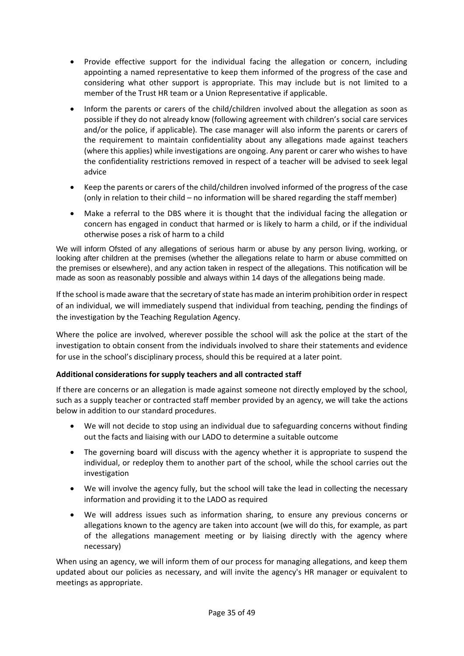- Provide effective support for the individual facing the allegation or concern, including appointing a named representative to keep them informed of the progress of the case and considering what other support is appropriate. This may include but is not limited to a member of the Trust HR team or a Union Representative if applicable.
- Inform the parents or carers of the child/children involved about the allegation as soon as possible if they do not already know (following agreement with children's social care services and/or the police, if applicable). The case manager will also inform the parents or carers of the requirement to maintain confidentiality about any allegations made against teachers (where this applies) while investigations are ongoing. Any parent or carer who wishes to have the confidentiality restrictions removed in respect of a teacher will be advised to seek legal advice
- Keep the parents or carers of the child/children involved informed of the progress of the case (only in relation to their child – no information will be shared regarding the staff member)
- Make a referral to the DBS where it is thought that the individual facing the allegation or concern has engaged in conduct that harmed or is likely to harm a child, or if the individual otherwise poses a risk of harm to a child

We will inform Ofsted of any allegations of serious harm or abuse by any person living, working, or looking after children at the premises (whether the allegations relate to harm or abuse committed on the premises or elsewhere), and any action taken in respect of the allegations. This notification will be made as soon as reasonably possible and always within 14 days of the allegations being made.

If the school is made aware that the secretary of state has made an interim prohibition order in respect of an individual, we will immediately suspend that individual from teaching, pending the findings of the investigation by the Teaching Regulation Agency.

Where the police are involved, wherever possible the school will ask the police at the start of the investigation to obtain consent from the individuals involved to share their statements and evidence for use in the school's disciplinary process, should this be required at a later point.

## **Additional considerations for supply teachers and all contracted staff**

If there are concerns or an allegation is made against someone not directly employed by the school, such as a supply teacher or contracted staff member provided by an agency, we will take the actions below in addition to our standard procedures.

- We will not decide to stop using an individual due to safeguarding concerns without finding out the facts and liaising with our LADO to determine a suitable outcome
- The governing board will discuss with the agency whether it is appropriate to suspend the individual, or redeploy them to another part of the school, while the school carries out the investigation
- We will involve the agency fully, but the school will take the lead in collecting the necessary information and providing it to the LADO as required
- We will address issues such as information sharing, to ensure any previous concerns or allegations known to the agency are taken into account (we will do this, for example, as part of the allegations management meeting or by liaising directly with the agency where necessary)

When using an agency, we will inform them of our process for managing allegations, and keep them updated about our policies as necessary, and will invite the agency's HR manager or equivalent to meetings as appropriate.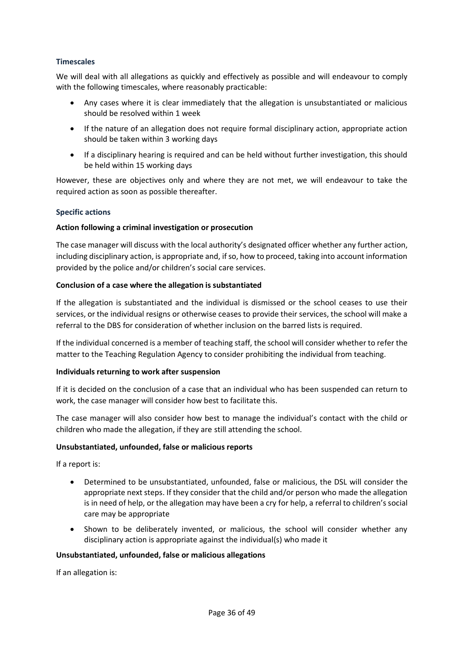## **Timescales**

We will deal with all allegations as quickly and effectively as possible and will endeavour to comply with the following timescales, where reasonably practicable:

- Any cases where it is clear immediately that the allegation is unsubstantiated or malicious should be resolved within 1 week
- If the nature of an allegation does not require formal disciplinary action, appropriate action should be taken within 3 working days
- If a disciplinary hearing is required and can be held without further investigation, this should be held within 15 working days

However, these are objectives only and where they are not met, we will endeavour to take the required action as soon as possible thereafter.

#### **Specific actions**

#### **Action following a criminal investigation or prosecution**

The case manager will discuss with the local authority's designated officer whether any further action, including disciplinary action, is appropriate and, if so, how to proceed, taking into account information provided by the police and/or children's social care services.

#### **Conclusion of a case where the allegation is substantiated**

If the allegation is substantiated and the individual is dismissed or the school ceases to use their services, or the individual resigns or otherwise ceases to provide their services, the school will make a referral to the DBS for consideration of whether inclusion on the barred lists is required.

If the individual concerned is a member of teaching staff, the school will consider whether to refer the matter to the Teaching Regulation Agency to consider prohibiting the individual from teaching.

#### **Individuals returning to work after suspension**

If it is decided on the conclusion of a case that an individual who has been suspended can return to work, the case manager will consider how best to facilitate this.

The case manager will also consider how best to manage the individual's contact with the child or children who made the allegation, if they are still attending the school.

#### **Unsubstantiated, unfounded, false or malicious reports**

If a report is:

- Determined to be unsubstantiated, unfounded, false or malicious, the DSL will consider the appropriate next steps. If they consider that the child and/or person who made the allegation is in need of help, or the allegation may have been a cry for help, a referral to children's social care may be appropriate
- Shown to be deliberately invented, or malicious, the school will consider whether any disciplinary action is appropriate against the individual(s) who made it

#### **Unsubstantiated, unfounded, false or malicious allegations**

If an allegation is: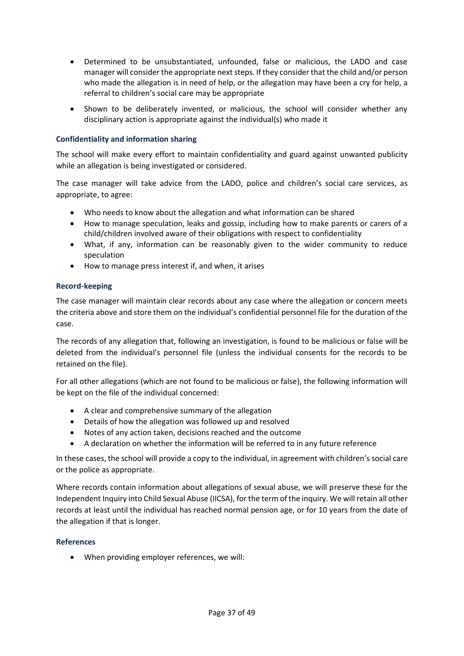- Determined to be unsubstantiated, unfounded, false or malicious, the LADO and case manager will consider the appropriate next steps. If they consider that the child and/or person who made the allegation is in need of help, or the allegation may have been a cry for help, a referral to children's social care may be appropriate
- Shown to be deliberately invented, or malicious, the school will consider whether any disciplinary action is appropriate against the individual(s) who made it

## **Confidentiality and information sharing**

The school will make every effort to maintain confidentiality and guard against unwanted publicity while an allegation is being investigated or considered.

The case manager will take advice from the LADO, police and children's social care services, as appropriate, to agree:

- Who needs to know about the allegation and what information can be shared
- How to manage speculation, leaks and gossip, including how to make parents or carers of a child/children involved aware of their obligations with respect to confidentiality
- What, if any, information can be reasonably given to the wider community to reduce speculation
- How to manage press interest if, and when, it arises

#### **Record-keeping**

The case manager will maintain clear records about any case where the allegation or concern meets the criteria above and store them on the individual's confidential personnel file for the duration of the case.

The records of any allegation that, following an investigation, is found to be malicious or false will be deleted from the individual's personnel file (unless the individual consents for the records to be retained on the file).

For all other allegations (which are not found to be malicious or false), the following information will be kept on the file of the individual concerned:

- A clear and comprehensive summary of the allegation
- Details of how the allegation was followed up and resolved
- Notes of any action taken, decisions reached and the outcome
- A declaration on whether the information will be referred to in any future reference

In these cases, the school will provide a copy to the individual, in agreement with children's social care or the police as appropriate.

Where records contain information about allegations of sexual abuse, we will preserve these for the Independent Inquiry into Child Sexual Abuse (IICSA), for the term of the inquiry. We will retain all other records at least until the individual has reached normal pension age, or for 10 years from the date of the allegation if that is longer.

#### **References**

• When providing employer references, we will: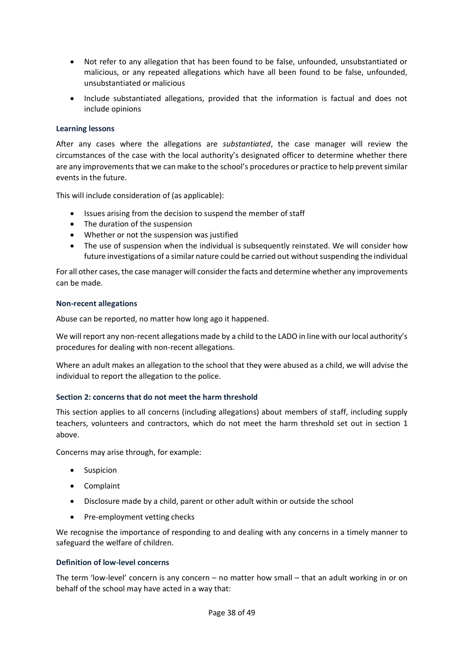- Not refer to any allegation that has been found to be false, unfounded, unsubstantiated or malicious, or any repeated allegations which have all been found to be false, unfounded, unsubstantiated or malicious
- Include substantiated allegations, provided that the information is factual and does not include opinions

## **Learning lessons**

After any cases where the allegations are *substantiated*, the case manager will review the circumstances of the case with the local authority's designated officer to determine whether there are any improvements that we can make to the school's procedures or practice to help prevent similar events in the future.

This will include consideration of (as applicable):

- Issues arising from the decision to suspend the member of staff
- The duration of the suspension
- Whether or not the suspension was justified
- The use of suspension when the individual is subsequently reinstated. We will consider how future investigations of a similar nature could be carried out without suspending the individual

For all other cases, the case manager will consider the facts and determine whether any improvements can be made.

#### **Non-recent allegations**

Abuse can be reported, no matter how long ago it happened.

We will report any non-recent allegations made by a child to the LADO in line with our local authority's procedures for dealing with non-recent allegations.

Where an adult makes an allegation to the school that they were abused as a child, we will advise the individual to report the allegation to the police.

#### **Section 2: concerns that do not meet the harm threshold**

This section applies to all concerns (including allegations) about members of staff, including supply teachers, volunteers and contractors, which do not meet the harm threshold set out in section 1 above.

Concerns may arise through, for example:

- Suspicion
- Complaint
- Disclosure made by a child, parent or other adult within or outside the school
- Pre-employment vetting checks

We recognise the importance of responding to and dealing with any concerns in a timely manner to safeguard the welfare of children.

#### **Definition of low-level concerns**

The term 'low-level' concern is any concern – no matter how small – that an adult working in or on behalf of the school may have acted in a way that: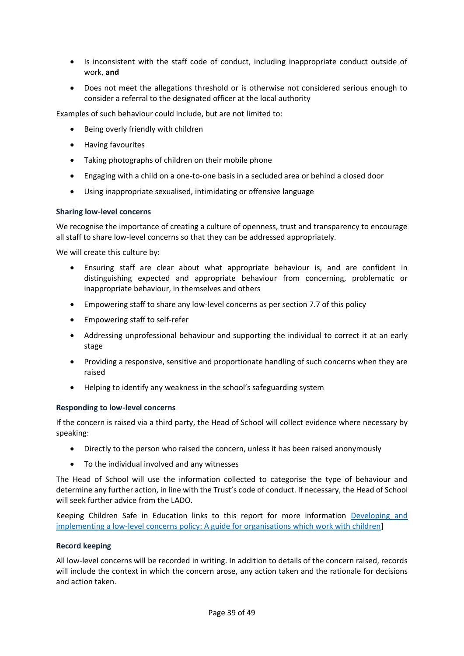- Is inconsistent with the staff code of conduct, including inappropriate conduct outside of work, **and**
- Does not meet the allegations threshold or is otherwise not considered serious enough to consider a referral to the designated officer at the local authority

Examples of such behaviour could include, but are not limited to:

- Being overly friendly with children
- Having favourites
- Taking photographs of children on their mobile phone
- Engaging with a child on a one-to-one basis in a secluded area or behind a closed door
- Using inappropriate sexualised, intimidating or offensive language

#### **Sharing low-level concerns**

We recognise the importance of creating a culture of openness, trust and transparency to encourage all staff to share low-level concerns so that they can be addressed appropriately.

We will create this culture by:

- Ensuring staff are clear about what appropriate behaviour is, and are confident in distinguishing expected and appropriate behaviour from concerning, problematic or inappropriate behaviour, in themselves and others
- Empowering staff to share any low-level concerns as per section 7.7 of this policy
- Empowering staff to self-refer
- Addressing unprofessional behaviour and supporting the individual to correct it at an early stage
- Providing a responsive, sensitive and proportionate handling of such concerns when they are raised
- Helping to identify any weakness in the school's safeguarding system

#### **Responding to low-level concerns**

If the concern is raised via a third party, the Head of School will collect evidence where necessary by speaking:

- Directly to the person who raised the concern, unless it has been raised anonymously
- To the individual involved and any witnesses

The Head of School will use the information collected to categorise the type of behaviour and determine any further action, in line with the Trust's code of conduct. If necessary, the Head of School will seek further advice from the LADO.

Keeping Children Safe in Education links to this report for more information [Developing and](https://www.farrer.co.uk/news-and-insights/developing-and-implementing-a-low-level-concerns-policy-a-guide-for-organisations-which-work-with-children/)  [implementing a low-level concerns policy: A guide for organisations which work with children\]](https://www.farrer.co.uk/news-and-insights/developing-and-implementing-a-low-level-concerns-policy-a-guide-for-organisations-which-work-with-children/)

#### **Record keeping**

All low-level concerns will be recorded in writing. In addition to details of the concern raised, records will include the context in which the concern arose, any action taken and the rationale for decisions and action taken.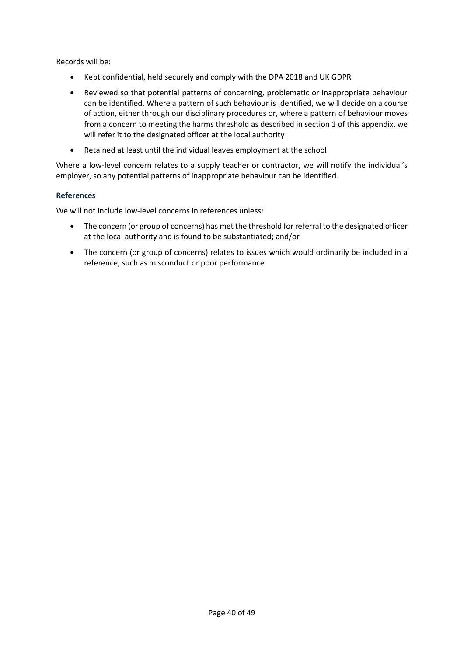Records will be:

- Kept confidential, held securely and comply with the DPA 2018 and UK GDPR
- Reviewed so that potential patterns of concerning, problematic or inappropriate behaviour can be identified. Where a pattern of such behaviour is identified, we will decide on a course of action, either through our disciplinary procedures or, where a pattern of behaviour moves from a concern to meeting the harms threshold as described in section 1 of this appendix, we will refer it to the designated officer at the local authority
- Retained at least until the individual leaves employment at the school

Where a low-level concern relates to a supply teacher or contractor, we will notify the individual's employer, so any potential patterns of inappropriate behaviour can be identified.

## **References**

We will not include low-level concerns in references unless:

- The concern (or group of concerns) has met the threshold for referral to the designated officer at the local authority and is found to be substantiated; and/or
- The concern (or group of concerns) relates to issues which would ordinarily be included in a reference, such as misconduct or poor performance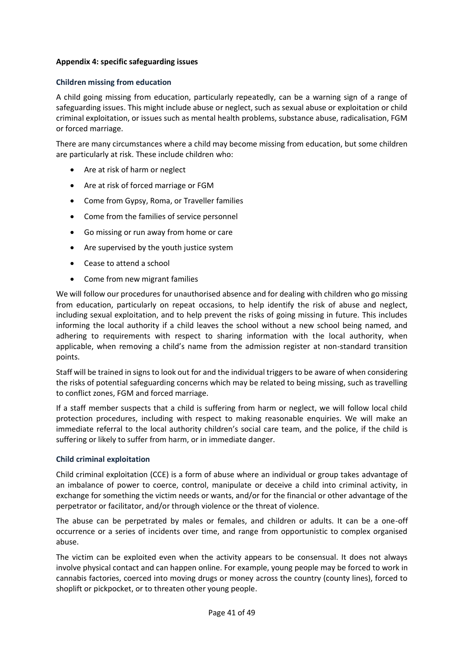## <span id="page-40-0"></span>**Appendix 4: specific safeguarding issues**

#### **Children missing from education**

A child going missing from education, particularly repeatedly, can be a warning sign of a range of safeguarding issues. This might include abuse or neglect, such as sexual abuse or exploitation or child criminal exploitation, or issues such as mental health problems, substance abuse, radicalisation, FGM or forced marriage.

There are many circumstances where a child may become missing from education, but some children are particularly at risk. These include children who:

- Are at risk of harm or neglect
- Are at risk of forced marriage or FGM
- Come from Gypsy, Roma, or Traveller families
- Come from the families of service personnel
- Go missing or run away from home or care
- Are supervised by the youth justice system
- Cease to attend a school
- Come from new migrant families

We will follow our procedures for unauthorised absence and for dealing with children who go missing from education, particularly on repeat occasions, to help identify the risk of abuse and neglect, including sexual exploitation, and to help prevent the risks of going missing in future. This includes informing the local authority if a child leaves the school without a new school being named, and adhering to requirements with respect to sharing information with the local authority, when applicable, when removing a child's name from the admission register at non-standard transition points.

Staff will be trained in signs to look out for and the individual triggers to be aware of when considering the risks of potential safeguarding concerns which may be related to being missing, such as travelling to conflict zones, FGM and forced marriage.

If a staff member suspects that a child is suffering from harm or neglect, we will follow local child protection procedures, including with respect to making reasonable enquiries. We will make an immediate referral to the local authority children's social care team, and the police, if the child is suffering or likely to suffer from harm, or in immediate danger.

#### **Child criminal exploitation**

Child criminal exploitation (CCE) is a form of abuse where an individual or group takes advantage of an imbalance of power to coerce, control, manipulate or deceive a child into criminal activity, in exchange for something the victim needs or wants, and/or for the financial or other advantage of the perpetrator or facilitator, and/or through violence or the threat of violence.

The abuse can be perpetrated by males or females, and children or adults. It can be a one-off occurrence or a series of incidents over time, and range from opportunistic to complex organised abuse.

The victim can be exploited even when the activity appears to be consensual. It does not always involve physical contact and can happen online. For example, young people may be forced to work in cannabis factories, coerced into moving drugs or money across the country (county lines), forced to shoplift or pickpocket, or to threaten other young people.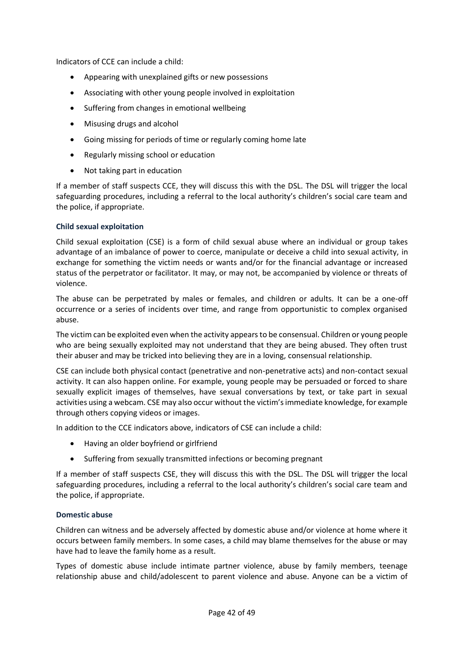Indicators of CCE can include a child:

- Appearing with unexplained gifts or new possessions
- Associating with other young people involved in exploitation
- Suffering from changes in emotional wellbeing
- Misusing drugs and alcohol
- Going missing for periods of time or regularly coming home late
- Regularly missing school or education
- Not taking part in education

If a member of staff suspects CCE, they will discuss this with the DSL. The DSL will trigger the local safeguarding procedures, including a referral to the local authority's children's social care team and the police, if appropriate.

## **Child sexual exploitation**

Child sexual exploitation (CSE) is a form of child sexual abuse where an individual or group takes advantage of an imbalance of power to coerce, manipulate or deceive a child into sexual activity, in exchange for something the victim needs or wants and/or for the financial advantage or increased status of the perpetrator or facilitator. It may, or may not, be accompanied by violence or threats of violence.

The abuse can be perpetrated by males or females, and children or adults. It can be a one-off occurrence or a series of incidents over time, and range from opportunistic to complex organised abuse.

The victim can be exploited even when the activity appears to be consensual. Children or young people who are being sexually exploited may not understand that they are being abused. They often trust their abuser and may be tricked into believing they are in a loving, consensual relationship.

CSE can include both physical contact (penetrative and non-penetrative acts) and non-contact sexual activity. It can also happen online. For example, young people may be persuaded or forced to share sexually explicit images of themselves, have sexual conversations by text, or take part in sexual activities using a webcam. CSE may also occur without the victim's immediate knowledge, for example through others copying videos or images.

In addition to the CCE indicators above, indicators of CSE can include a child:

- Having an older boyfriend or girlfriend
- Suffering from sexually transmitted infections or becoming pregnant

If a member of staff suspects CSE, they will discuss this with the DSL. The DSL will trigger the local safeguarding procedures, including a referral to the local authority's children's social care team and the police, if appropriate.

#### **Domestic abuse**

Children can witness and be adversely affected by domestic abuse and/or violence at home where it occurs between family members. In some cases, a child may blame themselves for the abuse or may have had to leave the family home as a result.

Types of domestic abuse include intimate partner violence, abuse by family members, teenage relationship abuse and child/adolescent to parent violence and abuse. Anyone can be a victim of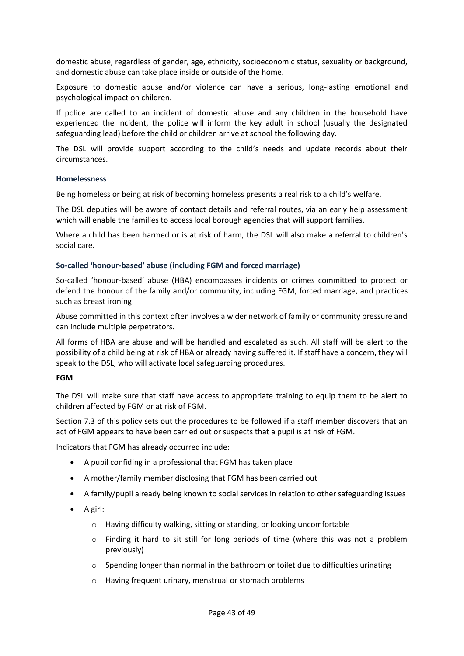domestic abuse, regardless of gender, age, ethnicity, socioeconomic status, sexuality or background, and domestic abuse can take place inside or outside of the home.

Exposure to domestic abuse and/or violence can have a serious, long-lasting emotional and psychological impact on children.

If police are called to an incident of domestic abuse and any children in the household have experienced the incident, the police will inform the key adult in school (usually the designated safeguarding lead) before the child or children arrive at school the following day.

The DSL will provide support according to the child's needs and update records about their circumstances.

#### **Homelessness**

Being homeless or being at risk of becoming homeless presents a real risk to a child's welfare.

The DSL deputies will be aware of contact details and referral routes, via an early help assessment which will enable the families to access local borough agencies that will support families.

Where a child has been harmed or is at risk of harm, the DSL will also make a referral to children's social care.

#### **So-called 'honour-based' abuse (including FGM and forced marriage)**

So-called 'honour-based' abuse (HBA) encompasses incidents or crimes committed to protect or defend the honour of the family and/or community, including FGM, forced marriage, and practices such as breast ironing.

Abuse committed in this context often involves a wider network of family or community pressure and can include multiple perpetrators.

All forms of HBA are abuse and will be handled and escalated as such. All staff will be alert to the possibility of a child being at risk of HBA or already having suffered it. If staff have a concern, they will speak to the DSL, who will activate local safeguarding procedures.

#### **FGM**

The DSL will make sure that staff have access to appropriate training to equip them to be alert to children affected by FGM or at risk of FGM.

Section 7.3 of this policy sets out the procedures to be followed if a staff member discovers that an act of FGM appears to have been carried out or suspects that a pupil is at risk of FGM.

Indicators that FGM has already occurred include:

- A pupil confiding in a professional that FGM has taken place
- A mother/family member disclosing that FGM has been carried out
- A family/pupil already being known to social services in relation to other safeguarding issues
- A girl:
	- o Having difficulty walking, sitting or standing, or looking uncomfortable
	- o Finding it hard to sit still for long periods of time (where this was not a problem previously)
	- o Spending longer than normal in the bathroom or toilet due to difficulties urinating
	- o Having frequent urinary, menstrual or stomach problems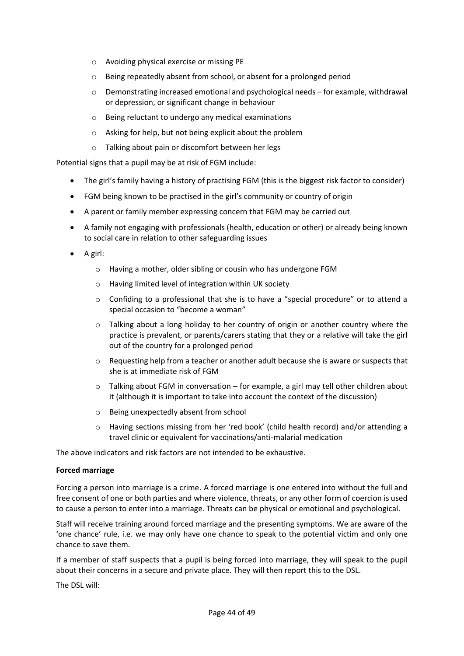- o Avoiding physical exercise or missing PE
- o Being repeatedly absent from school, or absent for a prolonged period
- $\circ$  Demonstrating increased emotional and psychological needs for example, withdrawal or depression, or significant change in behaviour
- o Being reluctant to undergo any medical examinations
- o Asking for help, but not being explicit about the problem
- o Talking about pain or discomfort between her legs

Potential signs that a pupil may be at risk of FGM include:

- The girl's family having a history of practising FGM (this is the biggest risk factor to consider)
- FGM being known to be practised in the girl's community or country of origin
- A parent or family member expressing concern that FGM may be carried out
- A family not engaging with professionals (health, education or other) or already being known to social care in relation to other safeguarding issues
- A girl:
	- o Having a mother, older sibling or cousin who has undergone FGM
	- o Having limited level of integration within UK society
	- $\circ$  Confiding to a professional that she is to have a "special procedure" or to attend a special occasion to "become a woman"
	- $\circ$  Talking about a long holiday to her country of origin or another country where the practice is prevalent, or parents/carers stating that they or a relative will take the girl out of the country for a prolonged period
	- $\circ$  Requesting help from a teacher or another adult because she is aware or suspects that she is at immediate risk of FGM
	- $\circ$  Talking about FGM in conversation for example, a girl may tell other children about it (although it is important to take into account the context of the discussion)
	- o Being unexpectedly absent from school
	- o Having sections missing from her 'red book' (child health record) and/or attending a travel clinic or equivalent for vaccinations/anti-malarial medication

The above indicators and risk factors are not intended to be exhaustive.

#### **Forced marriage**

Forcing a person into marriage is a crime. A forced marriage is one entered into without the full and free consent of one or both parties and where violence, threats, or any other form of coercion is used to cause a person to enter into a marriage. Threats can be physical or emotional and psychological.

Staff will receive training around forced marriage and the presenting symptoms. We are aware of the 'one chance' rule, i.e. we may only have one chance to speak to the potential victim and only one chance to save them.

If a member of staff suspects that a pupil is being forced into marriage, they will speak to the pupil about their concerns in a secure and private place. They will then report this to the DSL.

The DSL will: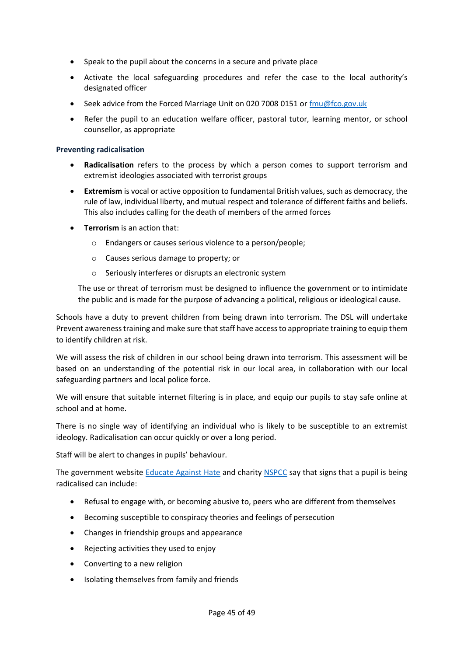- Speak to the pupil about the concerns in a secure and private place
- Activate the local safeguarding procedures and refer the case to the local authority's designated officer
- Seek advice from the Forced Marriage Unit on 020 7008 0151 or [fmu@fco.gov.uk](mailto:fmu@fco.gov.uk)
- Refer the pupil to an education welfare officer, pastoral tutor, learning mentor, or school counsellor, as appropriate

#### **Preventing radicalisation**

- Radicalisation refers to the process by which a person comes to support terrorism and extremist ideologies associated with terrorist groups
- **Extremism** is vocal or active opposition to fundamental British values, such as democracy, the rule of law, individual liberty, and mutual respect and tolerance of different faiths and beliefs. This also includes calling for the death of members of the armed forces
- **Terrorism** is an action that:
	- o Endangers or causes serious violence to a person/people;
	- o Causes serious damage to property; or
	- o Seriously interferes or disrupts an electronic system

The use or threat of terrorism must be designed to influence the government or to intimidate the public and is made for the purpose of advancing a political, religious or ideological cause.

Schools have a duty to prevent children from being drawn into terrorism. The DSL will undertake Prevent awareness training and make sure that staff have access to appropriate training to equip them to identify children at risk.

We will assess the risk of children in our school being drawn into terrorism. This assessment will be based on an understanding of the potential risk in our local area, in collaboration with our local safeguarding partners and local police force.

We will ensure that suitable internet filtering is in place, and equip our pupils to stay safe online at school and at home.

There is no single way of identifying an individual who is likely to be susceptible to an extremist ideology. Radicalisation can occur quickly or over a long period.

Staff will be alert to changes in pupils' behaviour.

The government website **Educate Against Hate and charit[y NSPCC](https://www.nspcc.org.uk/what-you-can-do/report-abuse/dedicated-helplines/protecting-children-from-radicalisation/)** say that signs that a pupil is being radicalised can include:

- Refusal to engage with, or becoming abusive to, peers who are different from themselves
- Becoming susceptible to conspiracy theories and feelings of persecution
- Changes in friendship groups and appearance
- Rejecting activities they used to enjoy
- Converting to a new religion
- Isolating themselves from family and friends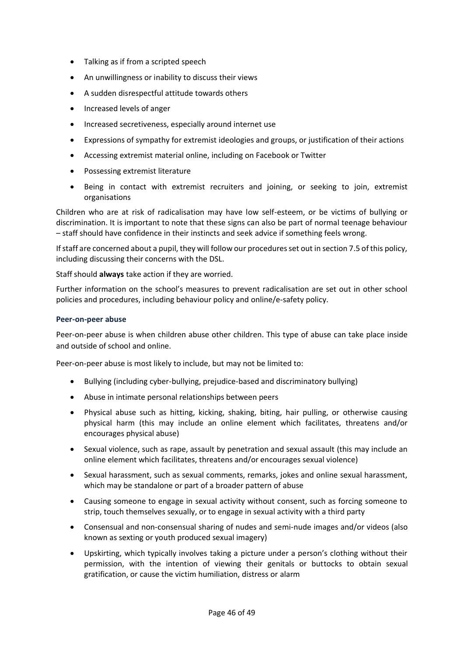- Talking as if from a scripted speech
- An unwillingness or inability to discuss their views
- A sudden disrespectful attitude towards others
- Increased levels of anger
- Increased secretiveness, especially around internet use
- Expressions of sympathy for extremist ideologies and groups, or justification of their actions
- Accessing extremist material online, including on Facebook or Twitter
- Possessing extremist literature
- Being in contact with extremist recruiters and joining, or seeking to join, extremist organisations

Children who are at risk of radicalisation may have low self-esteem, or be victims of bullying or discrimination. It is important to note that these signs can also be part of normal teenage behaviour – staff should have confidence in their instincts and seek advice if something feels wrong.

If staff are concerned about a pupil, they will follow our procedures set out in section 7.5 of this policy, including discussing their concerns with the DSL.

Staff should **always** take action if they are worried.

Further information on the school's measures to prevent radicalisation are set out in other school policies and procedures, including behaviour policy and online/e-safety policy.

#### **Peer-on-peer abuse**

Peer-on-peer abuse is when children abuse other children. This type of abuse can take place inside and outside of school and online.

Peer-on-peer abuse is most likely to include, but may not be limited to:

- Bullying (including cyber-bullying, prejudice-based and discriminatory bullying)
- Abuse in intimate personal relationships between peers
- Physical abuse such as hitting, kicking, shaking, biting, hair pulling, or otherwise causing physical harm (this may include an online element which facilitates, threatens and/or encourages physical abuse)
- Sexual violence, such as rape, assault by penetration and sexual assault (this may include an online element which facilitates, threatens and/or encourages sexual violence)
- Sexual harassment, such as sexual comments, remarks, jokes and online sexual harassment, which may be standalone or part of a broader pattern of abuse
- Causing someone to engage in sexual activity without consent, such as forcing someone to strip, touch themselves sexually, or to engage in sexual activity with a third party
- Consensual and non-consensual sharing of nudes and semi-nude images and/or videos (also known as sexting or youth produced sexual imagery)
- Upskirting, which typically involves taking a picture under a person's clothing without their permission, with the intention of viewing their genitals or buttocks to obtain sexual gratification, or cause the victim humiliation, distress or alarm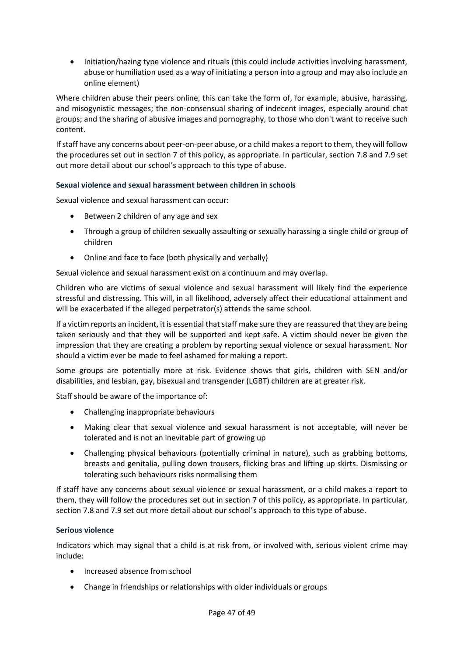• Initiation/hazing type violence and rituals (this could include activities involving harassment, abuse or humiliation used as a way of initiating a person into a group and may also include an online element)

Where children abuse their peers online, this can take the form of, for example, abusive, harassing, and misogynistic messages; the non-consensual sharing of indecent images, especially around chat groups; and the sharing of abusive images and pornography, to those who don't want to receive such content.

If staff have any concerns about peer-on-peer abuse, or a child makes a report to them, they will follow the procedures set out in section 7 of this policy, as appropriate. In particular, section 7.8 and 7.9 set out more detail about our school's approach to this type of abuse.

## **Sexual violence and sexual harassment between children in schools**

Sexual violence and sexual harassment can occur:

- Between 2 children of any age and sex
- Through a group of children sexually assaulting or sexually harassing a single child or group of children
- Online and face to face (both physically and verbally)

Sexual violence and sexual harassment exist on a continuum and may overlap.

Children who are victims of sexual violence and sexual harassment will likely find the experience stressful and distressing. This will, in all likelihood, adversely affect their educational attainment and will be exacerbated if the alleged perpetrator(s) attends the same school.

If a victim reports an incident, it is essential that staff make sure they are reassured that they are being taken seriously and that they will be supported and kept safe. A victim should never be given the impression that they are creating a problem by reporting sexual violence or sexual harassment. Nor should a victim ever be made to feel ashamed for making a report.

Some groups are potentially more at risk. Evidence shows that girls, children with SEN and/or disabilities, and lesbian, gay, bisexual and transgender (LGBT) children are at greater risk.

Staff should be aware of the importance of:

- Challenging inappropriate behaviours
- Making clear that sexual violence and sexual harassment is not acceptable, will never be tolerated and is not an inevitable part of growing up
- Challenging physical behaviours (potentially criminal in nature), such as grabbing bottoms, breasts and genitalia, pulling down trousers, flicking bras and lifting up skirts. Dismissing or tolerating such behaviours risks normalising them

If staff have any concerns about sexual violence or sexual harassment, or a child makes a report to them, they will follow the procedures set out in section 7 of this policy, as appropriate. In particular, section 7.8 and 7.9 set out more detail about our school's approach to this type of abuse.

## **Serious violence**

Indicators which may signal that a child is at risk from, or involved with, serious violent crime may include:

- Increased absence from school
- Change in friendships or relationships with older individuals or groups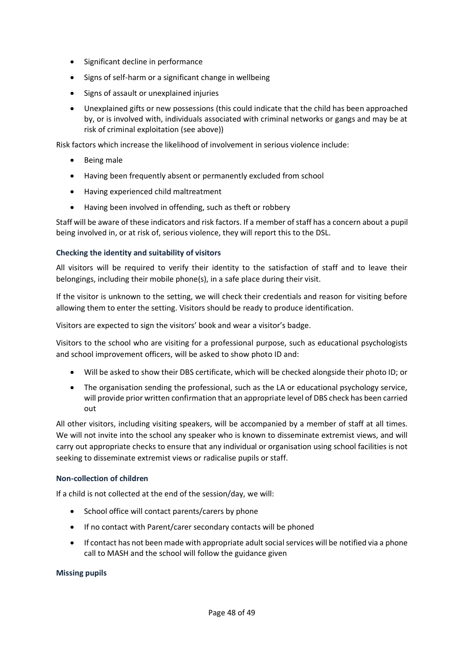- Significant decline in performance
- Signs of self-harm or a significant change in wellbeing
- Signs of assault or unexplained injuries
- Unexplained gifts or new possessions (this could indicate that the child has been approached by, or is involved with, individuals associated with criminal networks or gangs and may be at risk of criminal exploitation (see above))

Risk factors which increase the likelihood of involvement in serious violence include:

- Being male
- Having been frequently absent or permanently excluded from school
- Having experienced child maltreatment
- Having been involved in offending, such as theft or robbery

Staff will be aware of these indicators and risk factors. If a member of staff has a concern about a pupil being involved in, or at risk of, serious violence, they will report this to the DSL.

## **Checking the identity and suitability of visitors**

All visitors will be required to verify their identity to the satisfaction of staff and to leave their belongings, including their mobile phone(s), in a safe place during their visit.

If the visitor is unknown to the setting, we will check their credentials and reason for visiting before allowing them to enter the setting. Visitors should be ready to produce identification.

Visitors are expected to sign the visitors' book and wear a visitor's badge.

Visitors to the school who are visiting for a professional purpose, such as educational psychologists and school improvement officers, will be asked to show photo ID and:

- Will be asked to show their DBS certificate, which will be checked alongside their photo ID; or
- The organisation sending the professional, such as the LA or educational psychology service, will provide prior written confirmation that an appropriate level of DBS check has been carried out

All other visitors, including visiting speakers, will be accompanied by a member of staff at all times. We will not invite into the school any speaker who is known to disseminate extremist views, and will carry out appropriate checks to ensure that any individual or organisation using school facilities is not seeking to disseminate extremist views or radicalise pupils or staff.

## **Non-collection of children**

If a child is not collected at the end of the session/day, we will:

- School office will contact parents/carers by phone
- If no contact with Parent/carer secondary contacts will be phoned
- If contact has not been made with appropriate adult social services will be notified via a phone call to MASH and the school will follow the guidance given

#### **Missing pupils**